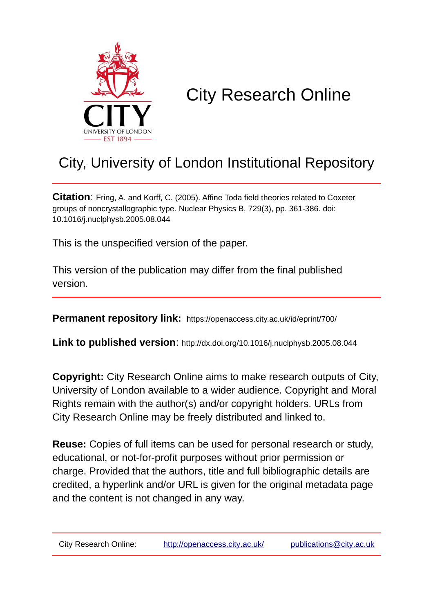

# City Research Online

# City, University of London Institutional Repository

**Citation**: Fring, A. and Korff, C. (2005). Affine Toda field theories related to Coxeter groups of noncrystallographic type. Nuclear Physics B, 729(3), pp. 361-386. doi: 10.1016/j.nuclphysb.2005.08.044

This is the unspecified version of the paper.

This version of the publication may differ from the final published version.

**Permanent repository link:** https://openaccess.city.ac.uk/id/eprint/700/

**Link to published version**: http://dx.doi.org/10.1016/j.nuclphysb.2005.08.044

**Copyright:** City Research Online aims to make research outputs of City, University of London available to a wider audience. Copyright and Moral Rights remain with the author(s) and/or copyright holders. URLs from City Research Online may be freely distributed and linked to.

**Reuse:** Copies of full items can be used for personal research or study, educational, or not-for-profit purposes without prior permission or charge. Provided that the authors, title and full bibliographic details are credited, a hyperlink and/or URL is given for the original metadata page and the content is not changed in any way.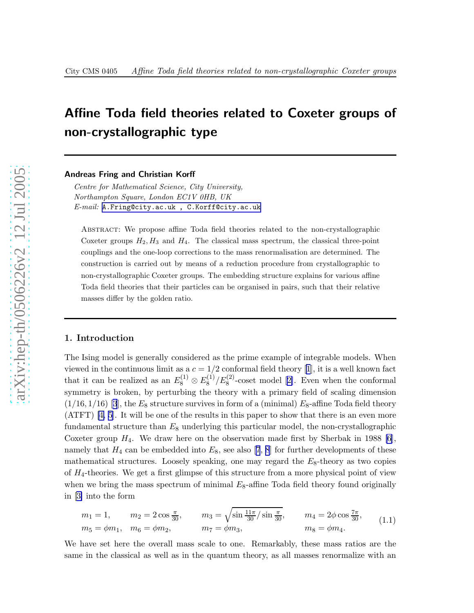# <span id="page-1-0"></span>Affine Toda field theories related to Coxeter groups of non-crystallographic type

Andreas Fring and Christian Korff

Centre for Mathematical Science, City University, Northampton Square, London EC1V 0HB, UK  $E\text{-}mail:$  A. Fring@city.ac.uk, C. Korff@city.ac.uk

Abstract: We propose affine Toda field theories related to the non-crystallographic Coxeter groups  $H_2, H_3$  and  $H_4$ . The classical mass spectrum, the classical three-point couplings and the one-loop corrections to the mass renormalisation are determined. The construction is carried out by means of a reduction procedure from crystallographic to non-crystallographic Coxeter groups. The embedding structure explains for various affine Toda field theories that their particles can be organised in pairs, such that their relative masses differ by the golden ratio.

#### 1. Introduction

The Ising model is generally considered as the prime example of integrable models. When viewedin the continuous limit as a  $c = 1/2$  $c = 1/2$  $c = 1/2$  conformal field theory [1], it is a well known fact that it can be realized as an  $E_8^{(1)}$  $E_8^{(1)} \otimes E_8^{(1)}$  $\binom{1}{8}$  /E<sub>8</sub><sup>(2)</sup>-coset model [\[2\]](#page-26-0). Even when the conformal symmetry is broken, by perturbing the theory with a primary field of scaling dimension  $(1/16, 1/16)$  [\[3](#page-26-0)], the  $E_8$  structure survives in form of a (minimal)  $E_8$ -affine Toda field theory (ATFT) [\[4, 5](#page-26-0)]. It will be one of the results in this paper to show that there is an even more fundamental structure than E <sup>8</sup> underlying this particular model, the non-crystallographic Coxeter group  $H_4$ . We draw here on the observation made first by Sherbak in 1988 [\[6\]](#page-26-0), namelythat  $H_4$  can be embedded into  $E_8$ , see also [[7](#page-26-0), [8](#page-26-0)] for further developments of these mathematical structures. Loosely speaking, one may regard the  $E_8$ -theory as two copies of  $H_4$ -theories. We get a first glimpse of this structure from a more physical point of view when we bring the mass spectrum of minimal  $E_8$ -affine Toda field theory found originally in [\[3\]](#page-26-0) into the form

$$
m_1 = 1,
$$
  $m_2 = 2 \cos \frac{\pi}{30},$   $m_3 = \sqrt{\sin \frac{11\pi}{30}} / \sin \frac{\pi}{30},$   $m_4 = 2\phi \cos \frac{7\pi}{30},$   
\n $m_5 = \phi m_1,$   $m_6 = \phi m_2,$   $m_7 = \phi m_3,$   $m_8 = \phi m_4.$  (1.1)

We have set here the overall mass scale to one. Remarkably, these mass ratios are the same in the classical as well as in the quantum theory, as all masses renormalize with an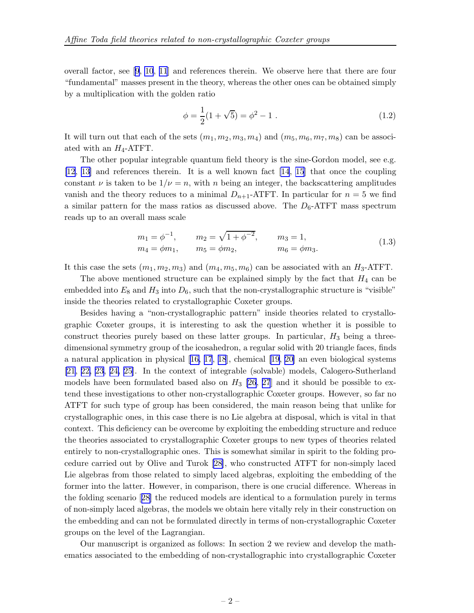<span id="page-2-0"></span>overall factor, see[[9](#page-26-0), [10](#page-26-0), [11](#page-26-0)] and references therein. We observe here that there are four "fundamental" masses present in the theory, whereas the other ones can be obtained simply by a multiplication with the golden ratio

$$
\phi = \frac{1}{2}(1 + \sqrt{5}) = \phi^2 - 1.
$$
\n(1.2)

It will turn out that each of the sets  $(m_1, m_2, m_3, m_4)$  and  $(m_5, m_6, m_7, m_8)$  can be associated with an  $H_4$ -ATFT.

The other popular integrable quantum field theory is the sine-Gordon model, see e.g. [\[12](#page-26-0), [13](#page-26-0)] and references therein. It is a well known fact [\[14](#page-26-0), [15](#page-26-0)] that once the coupling constant  $\nu$  is taken to be  $1/\nu = n$ , with n being an integer, the backscattering amplitudes vanish and the theory reduces to a minimal  $D_{n+1}$ -ATFT. In particular for  $n = 5$  we find a similar pattern for the mass ratios as discussed above. The  $D_6$ -ATFT mass spectrum reads up to an overall mass scale

$$
m_1 = \phi^{-1}
$$
,  $m_2 = \sqrt{1 + \phi^{-2}}$ ,  $m_3 = 1$ ,  
\n $m_4 = \phi m_1$ ,  $m_5 = \phi m_2$ ,  $m_6 = \phi m_3$ . (1.3)

It this case the sets  $(m_1, m_2, m_3)$  and  $(m_4, m_5, m_6)$  can be associated with an  $H_3$ -ATFT.

The above mentioned structure can be explained simply by the fact that  $H_4$  can be embedded into  $E_8$  and  $H_3$  into  $D_6$ , such that the non-crystallographic structure is "visible" inside the theories related to crystallographic Coxeter groups.

Besides having a "non-crystallographic pattern" inside theories related to crystallographic Coxeter groups, it is interesting to ask the question whether it is possible to construct theories purely based on these latter groups. In particular,  $H_3$  being a threedimensional symmetry group of the icosahedron, a regular solid with 20 triangle faces, finds anatural application in physical  $[16, 17, 18]$  $[16, 17, 18]$  $[16, 17, 18]$  $[16, 17, 18]$  $[16, 17, 18]$ , chemical  $[19, 20]$  $[19, 20]$  an even biological systems [\[21](#page-27-0), [22, 23](#page-27-0), [24, 25](#page-27-0)]. In the context of integrable (solvable) models, Calogero-Sutherland models have been formulated based also on  $H_3$  [\[26](#page-27-0), [27](#page-27-0)] and it should be possible to extend these investigations to other non-crystallographic Coxeter groups. However, so far no ATFT for such type of group has been considered, the main reason being that unlike for crystallographic ones, in this case there is no Lie algebra at disposal, which is vital in that context. This deficiency can be overcome by exploiting the embedding structure and reduce the theories associated to crystallographic Coxeter groups to new types of theories related entirely to non-crystallographic ones. This is somewhat similar in spirit to the folding procedure carried out by Olive and Turok [\[28](#page-27-0)], who constructed ATFT for non-simply laced Lie algebras from those related to simply laced algebras, exploiting the embedding of the former into the latter. However, in comparison, there is one crucial difference. Whereas in the folding scenario[[28\]](#page-27-0) the reduced models are identical to a formulation purely in terms of non-simply laced algebras, the models we obtain here vitally rely in their construction on the embedding and can not be formulated directly in terms of non-crystallographic Coxeter groups on the level of the Lagrangian.

Our manuscript is organized as follows: In section 2 we review and develop the mathematics associated to the embedding of non-crystallographic into crystallographic Coxeter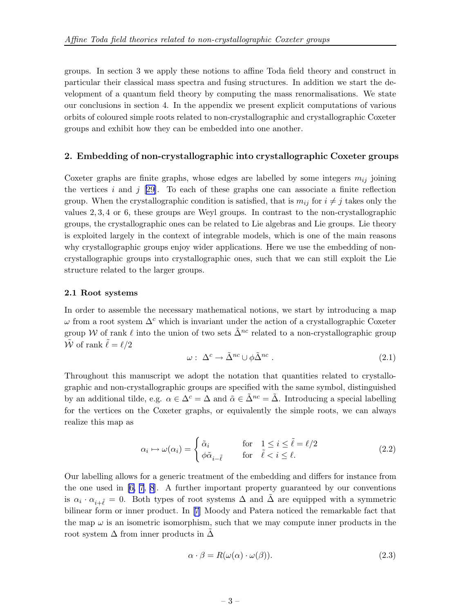<span id="page-3-0"></span>groups. In section 3 we apply these notions to affine Toda field theory and construct in particular their classical mass spectra and fusing structures. In addition we start the development of a quantum field theory by computing the mass renormalisations. We state our conclusions in section 4. In the appendix we present explicit computations of various orbits of coloured simple roots related to non-crystallographic and crystallographic Coxeter groups and exhibit how they can be embedded into one another.

#### 2. Embedding of non-crystallographic into crystallographic Coxeter groups

Coxeter graphs are finite graphs, whose edges are labelled by some integers  $m_{ij}$  joining the vertices i and j [\[29\]](#page-27-0). To each of these graphs one can associate a finite reflection group. When the crystallographic condition is satisfied, that is  $m_{ij}$  for  $i \neq j$  takes only the values 2, 3, 4 or 6, these groups are Weyl groups. In contrast to the non-crystallographic groups, the crystallographic ones can be related to Lie algebras and Lie groups. Lie theory is exploited largely in the context of integrable models, which is one of the main reasons why crystallographic groups enjoy wider applications. Here we use the embedding of noncrystallographic groups into crystallographic ones, such that we can still exploit the Lie structure related to the larger groups.

#### 2.1 Root systems

In order to assemble the necessary mathematical notions, we start by introducing a map  $\omega$  from a root system  $\Delta^c$  which is invariant under the action of a crystallographic Coxeter group W of rank  $\ell$  into the union of two sets  $\tilde{\Delta}^{nc}$  related to a non-crystallographic group  $\tilde{\mathcal{W}}$  of rank  $\tilde{\ell} = \ell/2$ 

$$
\omega: \ \Delta^c \to \tilde{\Delta}^{nc} \cup \phi \tilde{\Delta}^{nc} \ . \tag{2.1}
$$

Throughout this manuscript we adopt the notation that quantities related to crystallographic and non-crystallographic groups are specified with the same symbol, distinguished by an additional tilde, e.g.  $\alpha \in \Delta^c = \Delta$  and  $\tilde{\alpha} \in \tilde{\Delta}^{nc} = \tilde{\Delta}$ . Introducing a special labelling for the vertices on the Coxeter graphs, or equivalently the simple roots, we can always realize this map as

$$
\alpha_i \mapsto \omega(\alpha_i) = \begin{cases} \tilde{\alpha}_i & \text{for} \quad 1 \le i \le \tilde{\ell} = \ell/2 \\ \phi \tilde{\alpha}_{i-\tilde{\ell}} & \text{for} \quad \tilde{\ell} < i \le \ell. \end{cases}
$$
 (2.2)

Our labelling allows for a generic treatment of the embedding and differs for instance from the one used in  $[6, 7, 8]$  $[6, 7, 8]$  $[6, 7, 8]$ . A further important property guaranteed by our conventions is  $\alpha_i \cdot \alpha_{i+\tilde{\ell}} = 0$ . Both types of root systems  $\Delta$  and  $\tilde{\Delta}$  are equipped with a symmetric bilinear form or inner product. In[[7](#page-26-0)] Moody and Patera noticed the remarkable fact that the map  $\omega$  is an isometric isomorphism, such that we may compute inner products in the root system  $\Delta$  from inner products in  $\Delta$ 

$$
\alpha \cdot \beta = R(\omega(\alpha) \cdot \omega(\beta)). \tag{2.3}
$$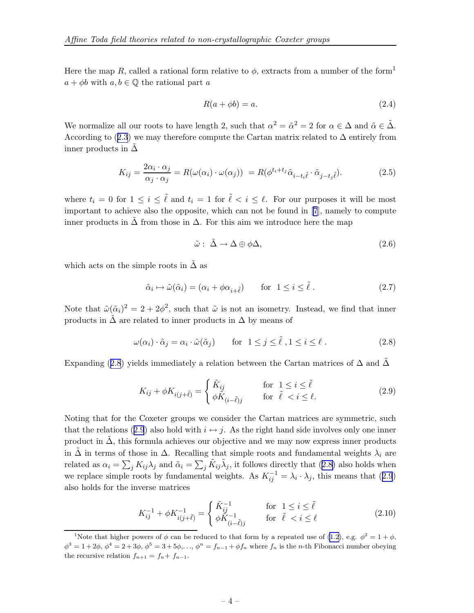<span id="page-4-0"></span>Here the map R, called a rational form relative to  $\phi$ , extracts from a number of the form<sup>1</sup>  $a + \phi b$  with  $a, b \in \mathbb{Q}$  the rational part a

$$
R(a + \phi b) = a.
$$
\n<sup>(2.4)</sup>

We normalize all our roots to have length 2, such that  $\alpha^2 = \tilde{\alpha}^2 = 2$  for  $\alpha \in \Delta$  and  $\tilde{\alpha} \in \tilde{\Delta}$ . According to ([2.3](#page-3-0)) we may therefore compute the Cartan matrix related to  $\Delta$  entirely from inner products in  $\Delta$ 

$$
K_{ij} = \frac{2\alpha_i \cdot \alpha_j}{\alpha_j \cdot \alpha_j} = R(\omega(\alpha_i) \cdot \omega(\alpha_j)) = R(\phi^{t_i + t_j} \tilde{\alpha}_{i - t_i \tilde{\ell}} \cdot \tilde{\alpha}_{j - t_j \tilde{\ell}}). \tag{2.5}
$$

where  $t_i = 0$  for  $1 \leq i \leq \tilde{\ell}$  and  $t_i = 1$  for  $\tilde{\ell} < i \leq \ell$ . For our purposes it will be most important to achieve also the opposite, which can not be found in [\[7](#page-26-0)], namely to compute inner products in  $\Delta$  from those in  $\Delta$ . For this aim we introduce here the map

$$
\tilde{\omega}: \tilde{\Delta} \to \Delta \oplus \phi \Delta, \tag{2.6}
$$

which acts on the simple roots in  $\Delta$  as

$$
\tilde{\alpha}_i \mapsto \tilde{\omega}(\tilde{\alpha}_i) = (\alpha_i + \phi \alpha_{i+\tilde{\ell}}) \qquad \text{for } 1 \le i \le \tilde{\ell} \,. \tag{2.7}
$$

Note that  $\tilde{\omega}(\tilde{\alpha}_i)^2 = 2 + 2\phi^2$ , such that  $\tilde{\omega}$  is not an isometry. Instead, we find that inner products in  $\tilde{\Delta}$  are related to inner products in  $\Delta$  by means of

$$
\omega(\alpha_i) \cdot \tilde{\alpha}_j = \alpha_i \cdot \tilde{\omega}(\tilde{\alpha}_j) \qquad \text{for} \ \ 1 \le j \le \tilde{\ell} \ , 1 \le i \le \ell \ . \tag{2.8}
$$

Expanding (2.8) yields immediately a relation between the Cartan matrices of  $\Delta$  and  $\Delta$ 

$$
K_{ij} + \phi K_{i(j+\tilde{\ell})} = \begin{cases} \tilde{K}_{ij} & \text{for } 1 \le i \le \tilde{\ell} \\ \phi \tilde{K}_{(i-\tilde{\ell})j} & \text{for } \tilde{\ell} < i \le \ell. \end{cases}
$$
 (2.9)

Noting that for the Coxeter groups we consider the Cartan matrices are symmetric, such that the relations (2.9) also hold with  $i \leftrightarrow j$ . As the right hand side involves only one inner product in  $\Delta$ , this formula achieves our objective and we may now express inner products in  $\tilde{\Delta}$  in terms of those in  $\Delta$ . Recalling that simple roots and fundamental weights  $\lambda_i$  are related as  $\alpha_i = \sum_j K_{ij} \lambda_j$  and  $\tilde{\alpha}_i = \sum_j \tilde{K}_{ij} \tilde{\lambda}_j$ , it follows directly that  $(2.8)$  also holds when we replace simple roots by fundamental weights. As  $K_{ij}^{-1} = \lambda_i \cdot \lambda_j$ , this means that (2.9) also holds for the inverse matrices

$$
K_{ij}^{-1} + \phi K_{i(j+\tilde{\ell})}^{-1} = \begin{cases} \tilde{K}_{ij}^{-1} & \text{for } 1 \le i \le \tilde{\ell} \\ \phi \tilde{K}_{(i-\tilde{\ell})j}^{-1} & \text{for } \tilde{\ell} < i \le \ell \end{cases}
$$
 (2.10)

<sup>&</sup>lt;sup>1</sup>Note that higher powers of  $\phi$  can be reduced to that form by a repeated use of [\(1.2](#page-2-0)), e.g.  $\phi^2 = 1 + \phi$ ,  $\phi^3 = 1 + 2\phi$ ,  $\phi^4 = 2 + 3\phi$ ,  $\phi^5 = 3 + 5\phi$ ,...,  $\phi^n = f_{n-1} + \phi f_n$  where  $f_n$  is the *n*-th Fibonacci number obeying the recursive relation  $f_{n+1} = f_n + f_{n-1}$ .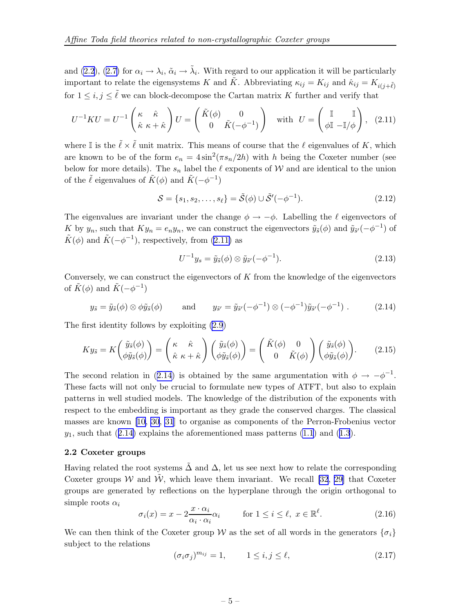<span id="page-5-0"></span>and [\(2.2](#page-3-0)), ([2.7\)](#page-4-0) for  $\alpha_i \to \lambda_i$ ,  $\tilde{\alpha}_i \to \tilde{\lambda}_i$ . With regard to our application it will be particularly important to relate the eigensystems K and  $\tilde{K}$ . Abbreviating  $\kappa_{ij} = K_{ij}$  and  $\hat{\kappa}_{ij} = K_{i(j+\tilde{\ell})}$ for  $1 \leq i, j \leq \tilde{\ell}$  we can block-decompose the Cartan matrix K further and verify that

$$
U^{-1}KU = U^{-1}\begin{pmatrix} \kappa & \hat{\kappa} \\ \hat{\kappa} & \kappa + \hat{\kappa} \end{pmatrix} U = \begin{pmatrix} \tilde{K}(\phi) & 0 \\ 0 & \tilde{K}(-\phi^{-1}) \end{pmatrix} \text{ with } U = \begin{pmatrix} \mathbb{I} & \mathbb{I} \\ \phi \mathbb{I} & -\mathbb{I}/\phi \end{pmatrix}, (2.11)
$$

where I is the  $\tilde{\ell} \times \tilde{\ell}$  unit matrix. This means of course that the  $\ell$  eigenvalues of K, which are known to be of the form  $e_n = 4 \sin^2(\pi s_n/2h)$  with h being the Coxeter number (see below for more details). The  $s_n$  label the  $\ell$  exponents of W and are identical to the union of the  $\tilde{\ell}$  eigenvalues of  $\tilde{K}(\phi)$  and  $\tilde{K}(-\phi^{-1})$ 

$$
S = \{s_1, s_2, \dots, s_\ell\} = \tilde{S}(\phi) \cup \tilde{S}'(-\phi^{-1}).
$$
\n(2.12)

The eigenvalues are invariant under the change  $\phi \to -\phi$ . Labelling the  $\ell$  eigenvectors of K by  $y_n$ , such that  $Ky_n = e_ny_n$ , we can construct the eigenvectors  $\tilde{y}_s(\phi)$  and  $\tilde{y}_{s'}(-\phi^{-1})$  of  $\tilde{K}(\phi)$  and  $\tilde{K}(-\phi^{-1})$ , respectively, from (2.11) as

$$
U^{-1}y_s = \tilde{y}_{\tilde{s}}(\phi) \otimes \tilde{y}_{\tilde{s}'}(-\phi^{-1}).
$$
\n(2.13)

Conversely, we can construct the eigenvectors of  $K$  from the knowledge of the eigenvectors of  $\tilde{K}(\phi)$  and  $\tilde{K}(-\phi^{-1})$ 

$$
y_{\tilde{s}} = \tilde{y}_{\tilde{s}}(\phi) \otimes \phi \tilde{y}_{\tilde{s}}(\phi) \quad \text{and} \quad y_{\tilde{s}'} = \tilde{y}_{\tilde{s}'}(-\phi^{-1}) \otimes (-\phi^{-1}) \tilde{y}_{\tilde{s}'}(-\phi^{-1}) . \quad (2.14)
$$

The first identity follows by exploiting [\(2.9](#page-4-0))

$$
K y_{\tilde{s}} = K \begin{pmatrix} \tilde{y}_{\tilde{s}}(\phi) \\ \phi \tilde{y}_{\tilde{s}}(\phi) \end{pmatrix} = \begin{pmatrix} \kappa & \hat{\kappa} \\ \hat{\kappa} & \kappa + \hat{\kappa} \end{pmatrix} \begin{pmatrix} \tilde{y}_{\tilde{s}}(\phi) \\ \phi \tilde{y}_{\tilde{s}}(\phi) \end{pmatrix} = \begin{pmatrix} \tilde{K}(\phi) & 0 \\ 0 & \tilde{K}(\phi) \end{pmatrix} \begin{pmatrix} \tilde{y}_{\tilde{s}}(\phi) \\ \phi \tilde{y}_{\tilde{s}}(\phi) \end{pmatrix} . \tag{2.15}
$$

The second relation in (2.14) is obtained by the same argumentation with  $\phi \to -\phi^{-1}$ . These facts will not only be crucial to formulate new types of ATFT, but also to explain patterns in well studied models. The knowledge of the distribution of the exponents with respect to the embedding is important as they grade the conserved charges. The classical masses are known [\[10,](#page-26-0) [30](#page-27-0), [31](#page-27-0)] to organise as components of the Perron-Frobenius vector  $y_1$ , such that (2.14) explains the aforementioned mass patterns [\(1.1](#page-1-0)) and ([1.3](#page-2-0)).

#### 2.2 Coxeter groups

Having related the root systems  $\tilde{\Delta}$  and  $\Delta$ , let us see next how to relate the corresponding Coxeter groups W and W, which leave them invariant. We recall [\[32](#page-27-0), [29\]](#page-27-0) that Coxeter groups are generated by reflections on the hyperplane through the origin orthogonal to simple roots  $\alpha_i$ 

$$
\sigma_i(x) = x - 2 \frac{x \cdot \alpha_i}{\alpha_i \cdot \alpha_i} \alpha_i \quad \text{for } 1 \le i \le \ell, \ x \in \mathbb{R}^{\ell}.
$$
 (2.16)

We can then think of the Coxeter group W as the set of all words in the generators  $\{\sigma_i\}$ subject to the relations

$$
(\sigma_i \sigma_j)^{m_{ij}} = 1, \qquad 1 \le i, j \le \ell,
$$
\n
$$
(2.17)
$$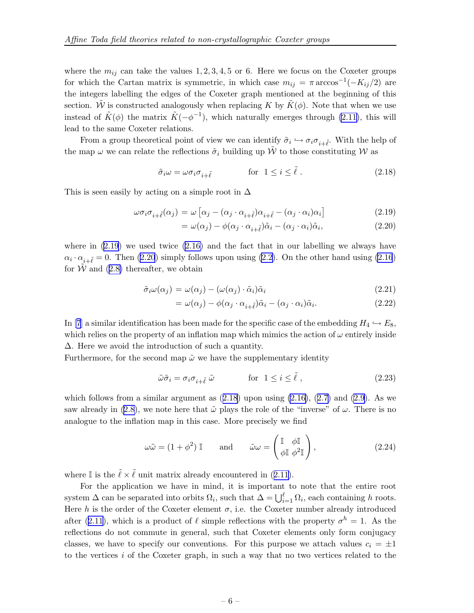<span id="page-6-0"></span>where the  $m_{ij}$  can take the values 1, 2, 3, 4, 5 or 6. Here we focus on the Coxeter groups for which the Cartan matrix is symmetric, in which case  $m_{ij} = \pi \arccos^{-1}(-K_{ij}/2)$  are the integers labelling the edges of the Coxeter graph mentioned at the beginning of this section. W is constructed analogously when replacing K by  $\tilde{K}(\phi)$ . Note that when we use instead of  $\tilde{K}(\phi)$  the matrix  $\tilde{K}(-\phi^{-1})$ , which naturally emerges through [\(2.11\)](#page-5-0), this will lead to the same Coxeter relations.

From a group theoretical point of view we can identify  $\tilde{\sigma}_i \hookrightarrow \sigma_i \sigma_{i+\tilde{\ell}}$ . With the help of the map  $\omega$  we can relate the reflections  $\tilde{\sigma}_i$  building up  $\tilde{W}$  to those constituting W as

$$
\tilde{\sigma}_i \omega = \omega \sigma_i \sigma_{i + \tilde{\ell}} \qquad \qquad \text{for} \ \ 1 \leq i \leq \tilde{\ell} \ . \tag{2.18}
$$

This is seen easily by acting on a simple root in  $\Delta$ 

$$
\omega \sigma_i \sigma_{i+\tilde{\ell}}(\alpha_j) = \omega \left[ \alpha_j - (\alpha_j \cdot \alpha_{i+\tilde{\ell}}) \alpha_{i+\tilde{\ell}} - (\alpha_j \cdot \alpha_i) \alpha_i \right]
$$
\n(2.19)

$$
= \omega(\alpha_j) - \phi(\alpha_j \cdot \alpha_{i+\tilde{\ell}})\tilde{\alpha}_i - (\alpha_j \cdot \alpha_i)\tilde{\alpha}_i, \tag{2.20}
$$

where in  $(2.19)$  we used twice  $(2.16)$  and the fact that in our labelling we always have  $\alpha_i \cdot \alpha_{i+\tilde{\ell}} = 0$ . Then [\(2.2](#page-3-0)0) simply follows upon using (2.2). On the other hand using [\(2.16](#page-5-0)) for  $\hat{W}$  and ([2.8\)](#page-4-0) thereafter, we obtain

$$
\tilde{\sigma}_i \omega(\alpha_j) = \omega(\alpha_j) - (\omega(\alpha_j) \cdot \tilde{\alpha}_i) \tilde{\alpha}_i \tag{2.21}
$$

$$
= \omega(\alpha_j) - \phi(\alpha_j \cdot \alpha_{i+\tilde{\ell}})\tilde{\alpha}_i - (\alpha_j \cdot \alpha_i)\tilde{\alpha}_i. \tag{2.22}
$$

In[[7](#page-26-0)] a similar identification has been made for the specific case of the embedding  $H_4 \hookrightarrow E_8$ , which relies on the property of an inflation map which mimics the action of  $\omega$  entirely inside ∆. Here we avoid the introduction of such a quantity.

Furthermore, for the second map  $\tilde{\omega}$  we have the supplementary identity

$$
\tilde{\omega}\tilde{\sigma}_i = \sigma_i \sigma_{i+\tilde{\ell}} \tilde{\omega} \qquad \qquad \text{for} \ \ 1 \le i \le \tilde{\ell} \ , \tag{2.23}
$$

which follows from a similar argument as  $(2.18)$  upon using  $(2.16)$ ,  $(2.7)$  $(2.7)$  and  $(2.9)$  $(2.9)$ . As we saw already in [\(2.8\)](#page-4-0), we note here that  $\tilde{\omega}$  plays the role of the "inverse" of  $\omega$ . There is no analogue to the inflation map in this case. More precisely we find

$$
\omega \tilde{\omega} = (1 + \phi^2) \mathbb{I} \quad \text{and} \quad \tilde{\omega} \omega = \begin{pmatrix} \mathbb{I} & \phi \mathbb{I} \\ \phi \mathbb{I} & \phi^2 \mathbb{I} \end{pmatrix}, \tag{2.24}
$$

where I is the  $\tilde{\ell} \times \tilde{\ell}$  unit matrix already encountered in ([2.11\)](#page-5-0).

For the application we have in mind, it is important to note that the entire root system  $\Delta$  can be separated into orbits  $\Omega_i$ , such that  $\Delta = \bigcup_{i=1}^{\ell} \Omega_i$ , each containing h roots. Here h is the order of the Coxeter element  $\sigma$ , i.e. the Coxeter number already introduced after ([2.11](#page-5-0)), which is a product of  $\ell$  simple reflections with the property  $\sigma^h = 1$ . As the reflections do not commute in general, such that Coxeter elements only form conjugacy classes, we have to specify our conventions. For this purpose we attach values  $c_i = \pm 1$ to the vertices  $i$  of the Coxeter graph, in such a way that no two vertices related to the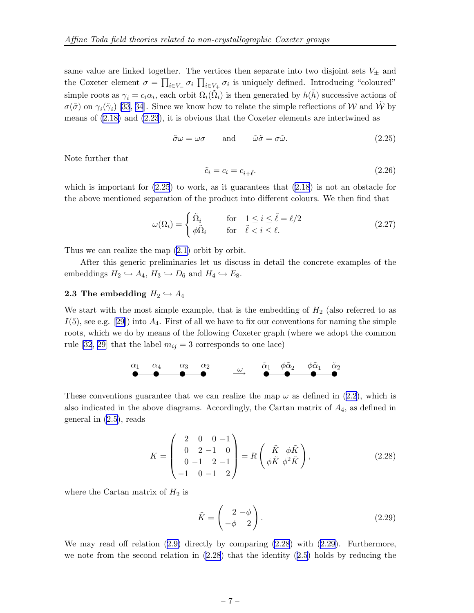<span id="page-7-0"></span>same value are linked together. The vertices then separate into two disjoint sets  $V_{\pm}$  and the Coxeter element  $\sigma = \prod_{i \in V_+} \sigma_i \prod_{i \in V_+} \sigma_i$  is uniquely defined. Introducing "coloured" simple roots as  $\gamma_i = c_i \alpha_i$ , each orbit  $\Omega_i(\tilde{\Omega}_i)$  is then generated by  $h(\tilde{h})$  successive actions of  $\sigma(\tilde{\sigma})$  on  $\gamma_i(\tilde{\gamma}_i)$  [\[33](#page-27-0), [34](#page-27-0)]. Since we know how to relate the simple reflections of W and  $\tilde{W}$  by means of [\(2.18\)](#page-6-0) and [\(2.23](#page-6-0)), it is obvious that the Coxeter elements are intertwined as

$$
\tilde{\sigma}\omega = \omega\sigma \qquad \text{and} \qquad \tilde{\omega}\tilde{\sigma} = \sigma\tilde{\omega}.\tag{2.25}
$$

Note further that

$$
\tilde{c}_i = c_i = c_{i+\tilde{\ell}}.\tag{2.26}
$$

which is important for  $(2.25)$  to work, as it guarantees that  $(2.18)$  $(2.18)$  is not an obstacle for the above mentioned separation of the product into different colours. We then find that

$$
\omega(\Omega_i) = \begin{cases} \tilde{\Omega}_i & \text{for} \quad 1 \le i \le \tilde{\ell} = \ell/2 \\ \phi \tilde{\Omega}_i & \text{for} \quad \tilde{\ell} < i \le \ell. \end{cases}
$$
 (2.27)

Thus we can realize the map [\(2.1](#page-3-0)) orbit by orbit.

After this generic preliminaries let us discuss in detail the concrete examples of the embeddings  $H_2 \hookrightarrow A_4$ ,  $H_3 \hookrightarrow D_6$  and  $H_4 \hookrightarrow E_8$ .

#### **2.3** The embedding  $H_2 \hookrightarrow A_4$

We start with the most simple example, that is the embedding of  $H_2$  (also referred to as  $I(5)$ , see e.g. [\[29\]](#page-27-0)) into  $A_4$ . First of all we have to fix our conventions for naming the simple roots, which we do by means of the following Coxeter graph (where we adopt the common rule [\[32](#page-27-0), [29\]](#page-27-0) that the label  $m_{ij} = 3$  corresponds to one lace)

$$
\begin{array}{cccccccc}\n\alpha_1 & \alpha_4 & \alpha_3 & \alpha_2 & & & \widetilde{\alpha}_1 & \phi \widetilde{\alpha}_2 & \phi \widetilde{\alpha}_1 & \widetilde{\alpha}_2 \\
\bullet & \bullet & \bullet & \bullet & \bullet & \bullet & \bullet\n\end{array}
$$

These conventions guarantee that we can realize the map  $\omega$  as defined in [\(2.2\)](#page-3-0), which is also indicated in the above diagrams. Accordingly, the Cartan matrix of  $A_4$ , as defined in general in ([2.5\)](#page-4-0), reads

$$
K = \begin{pmatrix} 2 & 0 & 0 & -1 \\ 0 & 2 & -1 & 0 \\ 0 & -1 & 2 & -1 \\ -1 & 0 & -1 & 2 \end{pmatrix} = R \begin{pmatrix} \tilde{K} & \phi \tilde{K} \\ \phi \tilde{K} & \phi^2 \tilde{K} \end{pmatrix},
$$
(2.28)

where the Cartan matrix of  $H_2$  is

$$
\tilde{K} = \begin{pmatrix} 2 & -\phi \\ -\phi & 2 \end{pmatrix} . \tag{2.29}
$$

We may read off relation ([2.9\)](#page-4-0) directly by comparing (2.28) with (2.29). Furthermore, we note from the second relation in (2.28) that the identity ([2.5](#page-4-0)) holds by reducing the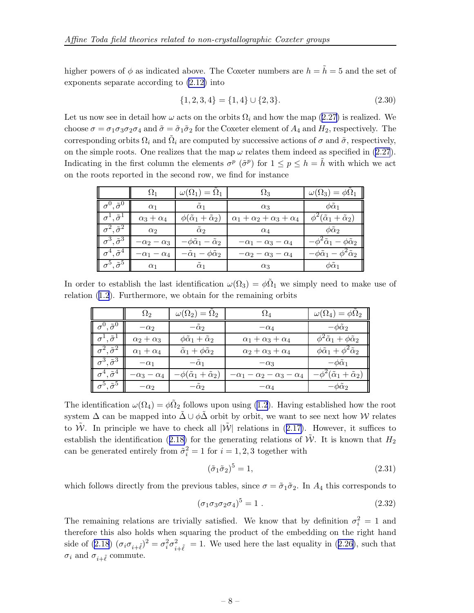higher powers of  $\phi$  as indicated above. The Coxeter numbers are  $h = \tilde{h} = 5$  and the set of exponents separate according to [\(2.12\)](#page-5-0) into

$$
\{1,2,3,4\} = \{1,4\} \cup \{2,3\}.
$$
\n
$$
(2.30)
$$

Let us now see in detail how  $\omega$  acts on the orbits  $\Omega_i$  and how the map ([2.27](#page-7-0)) is realized. We choose  $\sigma = \sigma_1 \sigma_3 \sigma_2 \sigma_4$  and  $\tilde{\sigma} = \tilde{\sigma}_1 \tilde{\sigma}_2$  for the Coxeter element of  $A_4$  and  $H_2$ , respectively. The corresponding orbits  $\Omega_i$  and  $\tilde{\Omega}_i$  are computed by successive actions of  $\sigma$  and  $\tilde{\sigma}$ , respectively, on the simple roots. One realizes that the map  $\omega$  relates them indeed as specified in [\(2.27](#page-7-0)). Indicating in the first column the elements  $\sigma^p$  ( $\tilde{\sigma}^p$ ) for  $1 \leq p \leq h = \tilde{h}$  with which we act on the roots reported in the second row, we find for instance

|                              | $\Omega_1$             | $\omega(\Omega_1)=\Omega_1$                 | $\Omega_3$                            | $\omega(\Omega_3)=\phi\Omega_1$                |
|------------------------------|------------------------|---------------------------------------------|---------------------------------------|------------------------------------------------|
| $\sigma^0, \tilde{\sigma}^0$ | $\alpha_1$             | $\tilde{\alpha}_1$                          | $\alpha_3$                            | $\phi\tilde{\alpha}_1$                         |
| $\sigma^1, \tilde{\sigma}^1$ | $\alpha_3+\alpha_4$    | $\phi(\tilde{\alpha}_1+\tilde{\alpha}_2)$   | $\alpha_1+\alpha_2+\alpha_3+\alpha_4$ | $\phi^2(\tilde{\alpha}_1+\tilde{\alpha}_2)$    |
| $\sigma^2, \tilde{\sigma}^2$ | $\alpha_2$             | $\tilde{\alpha}_2$                          | $\alpha_4$                            | $\phi\tilde{\alpha}_2$                         |
| $\sigma^3, \tilde{\sigma}^3$ | $-\alpha_2 - \alpha_3$ | $-\phi\tilde{\alpha}_1-\tilde{\alpha}_2$    | $-\alpha_1 - \alpha_3 - \alpha_4$     | $-\phi^2\tilde{\alpha}_1-\phi\tilde{\alpha}_2$ |
| $\sigma^4, \tilde{\sigma}^4$ | $-\alpha_1 - \alpha_4$ | $-\tilde{\alpha}_1 - \phi \tilde{\alpha}_2$ | $-\alpha_2 - \alpha_3 - \alpha_4$     | $-\phi\tilde{\alpha}_1-\phi^2\tilde{\alpha}_2$ |
| $\sigma^5, \tilde{\sigma}^5$ | $\alpha_1$             | $\tilde{\alpha}_1$                          | $\alpha_3$                            | $\phi\tilde{\alpha}_1$                         |

In order to establish the last identification  $\omega(\Omega_3) = \phi \tilde{\Omega}_1$  we simply need to make use of relation ([1.2](#page-2-0)). Furthermore, we obtain for the remaining orbits

|                                                  | $\Omega_2$             | $\omega(\Omega_2)=\Omega_2$                | $\Omega_4$                                   | $\omega(\Omega_4)=\phi\Omega_2$                   |
|--------------------------------------------------|------------------------|--------------------------------------------|----------------------------------------------|---------------------------------------------------|
| $\mathbf{I} \sigma^0, \tilde{\sigma}^0$          | $-\alpha_2$            | $-\tilde{\alpha}_2$                        | $-\alpha_4$                                  | $-\phi\tilde{\alpha}_2$                           |
| $\sigma^1$ , $\tilde{\sigma}^1$                  | $\alpha_2+\alpha_3$    | $\phi \tilde{\alpha}_1 + \tilde{\alpha}_2$ | $\alpha_1 + \alpha_3 + \alpha_4$             | $\phi^2\tilde{\alpha}_1+\phi\tilde{\alpha}_2$     |
| $\sigma^2$ , $\tilde{\sigma}^2$                  | $\alpha_1 + \alpha_4$  | $\tilde{\alpha}_1 + \phi \tilde{\alpha}_2$ | $\alpha_2+\alpha_3+\alpha_4$                 | $\phi \tilde{\alpha}_1 + \phi^2 \tilde{\alpha}_2$ |
| $\parallel \sigma^3, \tilde{\sigma}^3 \parallel$ | $-\alpha_1$            | $-\tilde{\alpha}_1$                        | $-\alpha_3$                                  | $-\phi\alpha_1$                                   |
| $\sigma^4, \tilde{\sigma}^4$                     | $-\alpha_3 - \alpha_4$ | $-\phi(\tilde{\alpha}_1+\tilde{\alpha}_2)$ | $-\alpha_1 - \alpha_2 - \alpha_3 - \alpha_4$ | $-\phi^2(\tilde{\alpha}_1+\tilde{\alpha}_2)$      |
| $\mathbf{r}^5, \tilde{\sigma}^5$                 | $-\alpha_2$            | $-\tilde{\alpha}_2$                        | $-\alpha_4$                                  | $-\phi\alpha_2$                                   |

The identification  $\omega(\Omega_4) = \phi_2 \tilde{\Omega}_2$  follows upon using [\(1.2\)](#page-2-0). Having established how the root system  $\Delta$  can be mapped into  $\tilde{\Delta} \cup \phi \tilde{\Delta}$  orbit by orbit, we want to see next how W relates to  $\tilde{W}$ . In principle we have to check all  $|\tilde{W}|$  relations in ([2.17\)](#page-5-0). However, it suffices to establish the identification ([2.18\)](#page-6-0) for the generating relations of  $\tilde{W}$ . It is known that  $H_2$ can be generated entirely from  $\tilde{\sigma}_i^2 = 1$  for  $i = 1, 2, 3$  together with

$$
(\tilde{\sigma}_1 \tilde{\sigma}_2)^5 = 1,\tag{2.31}
$$

which follows directly from the previous tables, since  $\sigma = \tilde{\sigma}_1 \tilde{\sigma}_2$ . In  $A_4$  this corresponds to

$$
(\sigma_1 \sigma_3 \sigma_2 \sigma_4)^5 = 1 \tag{2.32}
$$

The remaining relations are trivially satisfied. We know that by definition  $\sigma_i^2 = 1$  and therefore this also holds when squaring the product of the embedding on the right hand side of [\(2.18](#page-6-0))  $(\sigma_i \sigma_{i+\tilde{\ell}})^2 = \sigma_i^2 \sigma_{i+\tilde{\ell}}^2 = 1$ . We used here the last equality in ([2.26](#page-7-0)), such that  $\sigma_i$  and  $\sigma_{i+\tilde{\ell}}$  commute.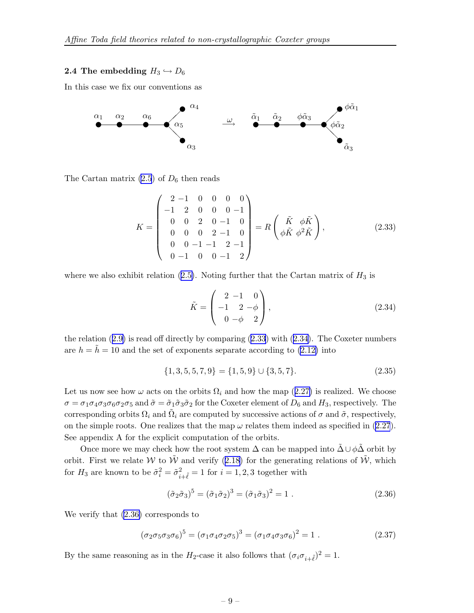#### **2.4 The embedding**  $H_3 \hookrightarrow D_6$

In this case we fix our conventions as



The Cartan matrix  $(2.5)$  $(2.5)$  of  $D_6$  then reads

$$
K = \begin{pmatrix} 2 & -1 & 0 & 0 & 0 & 0 \\ -1 & 2 & 0 & 0 & 0 & -1 \\ 0 & 0 & 2 & 0 & -1 & 0 \\ 0 & 0 & 0 & 2 & -1 & 0 \\ 0 & 0 & -1 & -1 & 2 & -1 \\ 0 & -1 & 0 & 0 & -1 & 2 \end{pmatrix} = R \begin{pmatrix} \tilde{K} & \phi \tilde{K} \\ \phi \tilde{K} & \phi^2 \tilde{K} \end{pmatrix},
$$
(2.33)

where we also exhibit relation ([2.5\)](#page-4-0). Noting further that the Cartan matrix of  $H_3$  is

$$
\tilde{K} = \begin{pmatrix} 2 & -1 & 0 \\ -1 & 2 & -\phi \\ 0 & -\phi & 2 \end{pmatrix},
$$
\n(2.34)

the relation  $(2.9)$  $(2.9)$  is read off directly by comparing  $(2.33)$  with  $(2.34)$ . The Coxeter numbers are  $h = \tilde{h} = 10$  and the set of exponents separate according to [\(2.12\)](#page-5-0) into

$$
\{1,3,5,5,7,9\} = \{1,5,9\} \cup \{3,5,7\}.\tag{2.35}
$$

Let us now see how  $\omega$  acts on the orbits  $\Omega_i$  and how the map ([2.27\)](#page-7-0) is realized. We choose  $\sigma = \sigma_1 \sigma_4 \sigma_3 \sigma_6 \sigma_2 \sigma_5$  and  $\tilde{\sigma} = \tilde{\sigma}_1 \tilde{\sigma}_3 \tilde{\sigma}_2$  for the Coxeter element of  $D_6$  and  $H_3$ , respectively. The corresponding orbits  $\Omega_i$  and  $\tilde{\Omega}_i$  are computed by successive actions of  $\sigma$  and  $\tilde{\sigma}$ , respectively, on the simple roots. One realizes that the map  $\omega$  relates them indeed as specified in [\(2.27](#page-7-0)). See appendix A for the explicit computation of the orbits.

Once more we may check how the root system  $\Delta$  can be mapped into  $\tilde{\Delta} \cup \phi \tilde{\Delta}$  orbit by orbit. First we relate W to  $\tilde{W}$  and verify ([2.18\)](#page-6-0) for the generating relations of  $\tilde{W}$ , which for  $H_3$  are known to be  $\tilde{\sigma}_i^2 = \tilde{\sigma}_{i+\tilde{\ell}}^2 = 1$  for  $i = 1, 2, 3$  together with

$$
(\tilde{\sigma}_2 \tilde{\sigma}_3)^5 = (\tilde{\sigma}_1 \tilde{\sigma}_2)^3 = (\tilde{\sigma}_1 \tilde{\sigma}_3)^2 = 1.
$$
\n(2.36)

We verify that (2.36) corresponds to

$$
(\sigma_2 \sigma_5 \sigma_3 \sigma_6)^5 = (\sigma_1 \sigma_4 \sigma_2 \sigma_5)^3 = (\sigma_1 \sigma_4 \sigma_3 \sigma_6)^2 = 1.
$$
 (2.37)

By the same reasoning as in the  $H_2$ -case it also follows that  $(\sigma_i \sigma_{i+\tilde{\ell}})^2 = 1$ .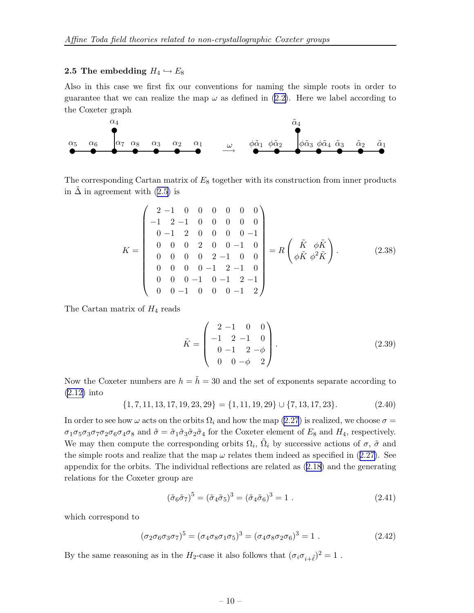#### **2.5** The embedding  $H_4 \hookrightarrow E_8$

Also in this case we first fix our conventions for naming the simple roots in order to guarantee that we can realize the map  $\omega$  as defined in [\(2.2\)](#page-3-0). Here we label according to the Coxeter graph



The corresponding Cartan matrix of  $E_8$  together with its construction from inner products in  $\Delta$  in agreement with [\(2.5\)](#page-4-0) is

$$
K = \begin{pmatrix} 2-1 & 0 & 0 & 0 & 0 & 0 & 0 \\ -1 & 2-1 & 0 & 0 & 0 & 0 & 0 \\ 0 & -1 & 2 & 0 & 0 & 0 & 0 & -1 \\ 0 & 0 & 0 & 2 & 0 & 0 & -1 & 0 \\ 0 & 0 & 0 & 0 & 2 & -1 & 0 & 0 \\ 0 & 0 & 0 & -1 & 2 & -1 & 0 \\ 0 & 0 & 0 & -1 & 0 & -1 & 2 & -1 \\ 0 & 0 & -1 & 0 & 0 & 0 & -1 & 2 \end{pmatrix} = R \begin{pmatrix} \tilde{K} & \phi \tilde{K} \\ \phi \tilde{K} & \phi^2 \tilde{K} \end{pmatrix}.
$$
 (2.38)

The Cartan matrix of  $H_4$  reads

$$
\tilde{K} = \begin{pmatrix} 2 & -1 & 0 & 0 \\ -1 & 2 & -1 & 0 \\ 0 & -1 & 2 & -\phi \\ 0 & 0 & -\phi & 2 \end{pmatrix} .
$$
 (2.39)

Now the Coxeter numbers are  $h = \tilde{h} = 30$  and the set of exponents separate according to [\(2.12\)](#page-5-0) into

 $\{1, 7, 11, 13, 17, 19, 23, 29\} = \{1, 11, 19, 29\} \cup \{7, 13, 17, 23\}.$  (2.40)

In order to see how  $\omega$  acts on the orbits  $\Omega_i$  and how the map [\(2.27](#page-7-0)) is realized, we choose  $\sigma =$  $\sigma_1 \sigma_5 \sigma_3 \sigma_7 \sigma_2 \sigma_6 \sigma_4 \sigma_8$  and  $\tilde{\sigma} = \tilde{\sigma}_1 \tilde{\sigma}_3 \tilde{\sigma}_2 \tilde{\sigma}_4$  for the Coxeter element of  $E_8$  and  $H_4$ , respectively. We may then compute the corresponding orbits  $\Omega_i$ ,  $\tilde{\Omega}_i$  by successive actions of  $\sigma$ ,  $\tilde{\sigma}$  and the simple roots and realize that the map  $\omega$  relates them indeed as specified in ([2.27\)](#page-7-0). See appendix for the orbits. The individual reflections are related as ([2.18](#page-6-0)) and the generating relations for the Coxeter group are

$$
(\tilde{\sigma}_6 \tilde{\sigma}_7)^5 = (\tilde{\sigma}_4 \tilde{\sigma}_5)^3 = (\tilde{\sigma}_4 \tilde{\sigma}_6)^3 = 1.
$$
 (2.41)

which correspond to

$$
(\sigma_2 \sigma_6 \sigma_3 \sigma_7)^5 = (\sigma_4 \sigma_8 \sigma_1 \sigma_5)^3 = (\sigma_4 \sigma_8 \sigma_2 \sigma_6)^3 = 1.
$$
 (2.42)

By the same reasoning as in the  $H_2$ -case it also follows that  $(\sigma_i \sigma_{i+\tilde{\ell}})^2 = 1$ .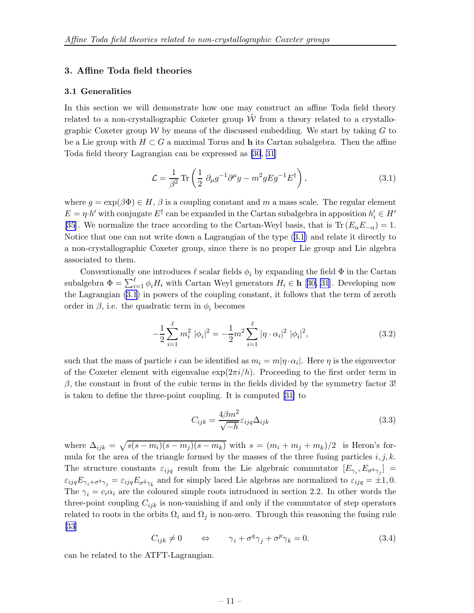#### <span id="page-11-0"></span>3. Affine Toda field theories

#### 3.1 Generalities

In this section we will demonstrate how one may construct an affine Toda field theory related to a non-crystallographic Coxeter group  $\tilde{W}$  from a theory related to a crystallographic Coxeter group  $W$  by means of the discussed embedding. We start by taking  $G$  to be a Lie group with  $H \subset G$  a maximal Torus and h its Cartan subalgebra. Then the affine Toda field theory Lagrangian can be expressed as [\[30](#page-27-0), [31\]](#page-27-0)

$$
\mathcal{L} = \frac{1}{\beta^2} \text{Tr} \left( \frac{1}{2} \partial_{\mu} g^{-1} \partial^{\mu} g - m^2 g E g^{-1} E^{\dagger} \right), \qquad (3.1)
$$

where  $g = \exp(\beta \Phi) \in H$ ,  $\beta$  is a coupling constant and m a mass scale. The regular element  $E = \eta \cdot h'$  with conjugate  $E^{\dagger}$  can be expanded in the Cartan subalgebra in apposition  $h'_i \in H'$ [\[35](#page-27-0)]. We normalize the trace according to the Cartan-Weyl basis, that is Tr  $(E_{\alpha}E_{-\alpha})=1$ . Notice that one can not write down a Lagrangian of the type (3.1) and relate it directly to a non-crystallographic Coxeter group, since there is no proper Lie group and Lie algebra associated to them.

Conventionally one introduces  $\ell$  scalar fields  $\phi_i$  by expanding the field  $\Phi$  in the Cartan subalgebra  $\Phi = \sum_{i=1}^{\ell} \phi_i H_i$  with Cartan Weyl generators  $H_i \in \mathbf{h}$  [[30, 31](#page-27-0)]. Developing now the Lagrangian (3.1) in powers of the coupling constant, it follows that the term of zeroth order in  $\beta$ , i.e. the quadratic term in  $\phi_i$  becomes

$$
-\frac{1}{2}\sum_{i=1}^{\ell} m_i^2 |\phi_i|^2 = -\frac{1}{2}m^2 \sum_{i=1}^{\ell} |\eta \cdot \alpha_i|^2 |\phi_i|^2,
$$
 (3.2)

such that the mass of particle *i* can be identified as  $m_i = m|\eta \cdot \alpha_i|$ . Here  $\eta$  is the eigenvector of the Coxeter element with eigenvalue  $\exp(2\pi i/h)$ . Proceeding to the first order term in β, the constant in front of the cubic terms in the fields divided by the symmetry factor 3! is taken to define the three-point coupling. It is computed [\[31\]](#page-27-0) to

$$
C_{ijk} = \frac{4\beta m^2}{\sqrt{-h}} \varepsilon_{ijq} \Delta_{ijk} \tag{3.3}
$$

where  $\Delta_{ijk} = \sqrt{s(s-m_i)(s-m_j)(s-m_k)}$  with  $s = (m_i + m_j + m_k)/2$  is Heron's formula for the area of the triangle formed by the masses of the three fusing particles  $i, j, k$ . The structure constants  $\varepsilon_{ijq}$  result from the Lie algebraic commutator  $[E_{\gamma_i}, E_{\sigma^q \gamma_j}] =$  $\varepsilon_{ijq}E_{\gamma_i+\sigma^q\gamma_j}=\varepsilon_{ijq}E_{\sigma^{\tilde{q}}\gamma_{\tilde{k}}}$  and for simply laced Lie algebras are normalized to  $\varepsilon_{ijq}=\pm 1,0$ . The  $\gamma_i = c_i \alpha_i$  are the coloured simple roots introduced in section 2.2. In other words the three-point coupling  $C_{ijk}$  is non-vanishing if and only if the commutator of step operators related to roots in the orbits  $\Omega_i$  and  $\Omega_j$  is non-zero. Through this reasoning the fusing rule  $|33|$ 

$$
C_{ijk} \neq 0 \qquad \Leftrightarrow \qquad \gamma_i + \sigma^q \gamma_j + \sigma^p \gamma_k = 0. \tag{3.4}
$$

can be related to the ATFT-Lagrangian.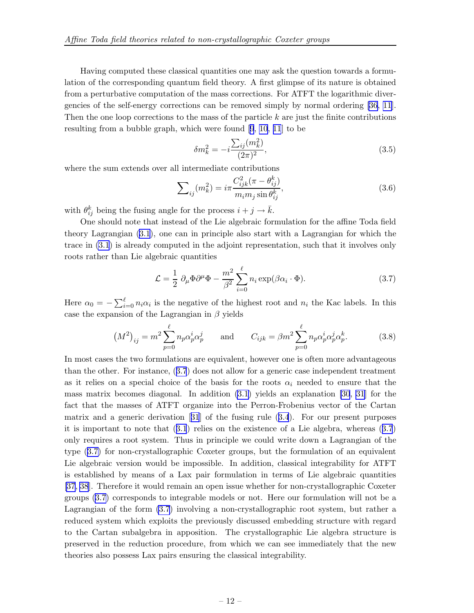<span id="page-12-0"></span>Having computed these classical quantities one may ask the question towards a formulation of the corresponding quantum field theory. A first glimpse of its nature is obtained from a perturbative computation of the mass corrections. For ATFT the logarithmic divergencies of the self-energy corrections can be removed simply by normal ordering [\[36,](#page-27-0) [11\]](#page-26-0). Then the one loop corrections to the mass of the particle  $k$  are just the finite contributions resulting from a bubble graph, which were found [\[9](#page-26-0), [10](#page-26-0), [11](#page-26-0)] to be

$$
\delta m_k^2 = -i \frac{\sum_{ij} (m_k^2)}{(2\pi)^2},\tag{3.5}
$$

where the sum extends over all intermediate contributions

$$
\sum_{ij}(m_k^2) = i\pi \frac{C_{ijk}^2(\pi - \theta_{ij}^k)}{m_i m_j \sin \theta_{ij}^k},
$$
\n(3.6)

with  $\theta_{ij}^k$  being the fusing angle for the process  $i + j \rightarrow \bar{k}$ .

One should note that instead of the Lie algebraic formulation for the affine Toda field theory Lagrangian [\(3.1\)](#page-11-0), one can in principle also start with a Lagrangian for which the trace in [\(3.1](#page-11-0)) is already computed in the adjoint representation, such that it involves only roots rather than Lie algebraic quantities

$$
\mathcal{L} = \frac{1}{2} \partial_{\mu} \Phi \partial^{\mu} \Phi - \frac{m^2}{\beta^2} \sum_{i=0}^{\ell} n_i \exp(\beta \alpha_i \cdot \Phi). \tag{3.7}
$$

Here  $\alpha_0 = -\sum_{i=0}^{\ell} n_i \alpha_i$  is the negative of the highest root and  $n_i$  the Kac labels. In this case the expansion of the Lagrangian in  $\beta$  yields

$$
(M^{2})_{ij} = m^{2} \sum_{p=0}^{\ell} n_{p} \alpha_{p}^{i} \alpha_{p}^{j} \quad \text{and} \quad C_{ijk} = \beta m^{2} \sum_{p=0}^{\ell} n_{p} \alpha_{p}^{i} \alpha_{p}^{j} \alpha_{p}^{k}. \quad (3.8)
$$

In most cases the two formulations are equivalent, however one is often more advantageous than the other. For instance, (3.7) does not allow for a generic case independent treatment as it relies on a special choice of the basis for the roots  $\alpha_i$  needed to ensure that the mass matrix becomes diagonal. In addition [\(3.1\)](#page-11-0) yields an explanation [\[30](#page-27-0), [31](#page-27-0)] for the fact that the masses of ATFT organize into the Perron-Frobenius vector of the Cartan matrix and a generic derivation[[31](#page-27-0)] of the fusing rule ([3.4](#page-11-0)). For our present purposes it is important to note that ([3.1](#page-11-0)) relies on the existence of a Lie algebra, whereas (3.7) only requires a root system. Thus in principle we could write down a Lagrangian of the type (3.7) for non-crystallographic Coxeter groups, but the formulation of an equivalent Lie algebraic version would be impossible. In addition, classical integrability for ATFT is established by means of a Lax pair formulation in terms of Lie algebraic quantities [\[37](#page-27-0), [38](#page-27-0)]. Therefore it would remain an open issue whether for non-crystallographic Coxeter groups (3.7) corresponds to integrable models or not. Here our formulation will not be a Lagrangian of the form (3.7) involving a non-crystallographic root system, but rather a reduced system which exploits the previously discussed embedding structure with regard to the Cartan subalgebra in apposition. The crystallographic Lie algebra structure is preserved in the reduction procedure, from which we can see immediately that the new theories also possess Lax pairs ensuring the classical integrability.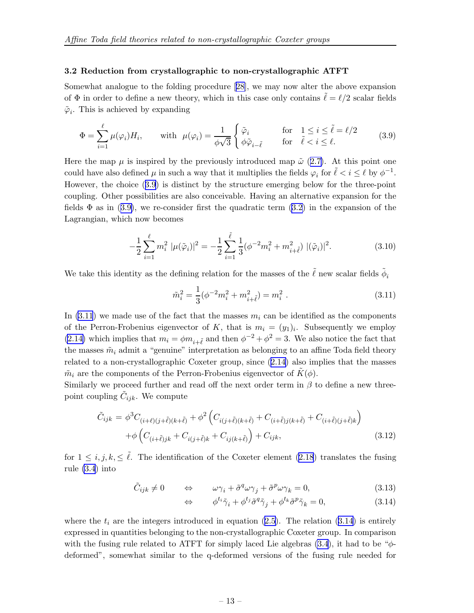#### <span id="page-13-0"></span>3.2 Reduction from crystallographic to non-crystallographic ATFT

Somewhat analogue to the folding procedure[[28\]](#page-27-0), we may now alter the above expansion of  $\Phi$  in order to define a new theory, which in this case only contains  $\ell = \ell/2$  scalar fields  $\tilde{\varphi}_i$ . This is achieved by expanding

$$
\Phi = \sum_{i=1}^{\ell} \mu(\varphi_i) H_i, \quad \text{with } \mu(\varphi_i) = \frac{1}{\phi \sqrt{3}} \begin{cases} \tilde{\varphi}_i & \text{for} \quad 1 \le i \le \tilde{\ell} = \ell/2\\ \phi \tilde{\varphi}_{i-\tilde{\ell}} & \text{for} \quad \tilde{\ell} < i \le \ell. \end{cases} \tag{3.9}
$$

Here the map  $\mu$  is inspired by the previously introduced map  $\tilde{\omega}$  ([2.7\)](#page-4-0). At this point one could have also defined  $\mu$  in such a way that it multiplies the fields  $\varphi_i$  for  $\tilde{\ell} < i \leq \ell$  by  $\phi^{-1}$ . However, the choice (3.9) is distinct by the structure emerging below for the three-point coupling. Other possibilities are also conceivable. Having an alternative expansion for the fields  $\Phi$  as in (3.9), we re-consider first the quadratic term [\(3.2\)](#page-11-0) in the expansion of the Lagrangian, which now becomes

$$
-\frac{1}{2}\sum_{i=1}^{\ell} m_i^2 |\mu(\tilde{\varphi}_i)|^2 = -\frac{1}{2}\sum_{i=1}^{\tilde{\ell}} \frac{1}{3} (\phi^{-2} m_i^2 + m_{i+\tilde{\ell}}^2) |(\tilde{\varphi}_i)|^2.
$$
 (3.10)

We take this identity as the defining relation for the masses of the  $\tilde{\ell}$  new scalar fields  $\tilde{\phi}_i$ 

$$
\tilde{m}_i^2 = \frac{1}{3} (\phi^{-2} m_i^2 + m_{i+\tilde{\ell}}^2) = m_i^2 . \qquad (3.11)
$$

In  $(3.11)$  we made use of the fact that the masses  $m_i$  can be identified as the components of the Perron-Frobenius eigenvector of K, that is  $m_i = (y_1)_i$ . Subsequently we employ [\(2.14\)](#page-5-0) which implies that  $m_i = \phi m_{i+\tilde{\ell}}$  and then  $\phi^{-2} + \phi^2 = 3$ . We also notice the fact that the masses  $\tilde{m}_i$  admit a "genuine" interpretation as belonging to an affine Toda field theory related to a non-crystallographic Coxeter group, since ([2.14\)](#page-5-0) also implies that the masses  $\tilde{m}_i$  are the components of the Perron-Frobenius eigenvector of  $K(\phi)$ .

Similarly we proceed further and read off the next order term in  $\beta$  to define a new threepoint coupling  $\tilde{C}_{ijk}$ . We compute

$$
\tilde{C}_{ijk} = \phi^3 C_{(i+\ell)(j+\tilde{\ell})(k+\tilde{\ell})} + \phi^2 \left( C_{i(j+\tilde{\ell})(k+\tilde{\ell})} + C_{(i+\tilde{\ell})j(k+\tilde{\ell})} + C_{(i+\tilde{\ell})(j+\tilde{\ell})k} \right) \n+ \phi \left( C_{(i+\tilde{\ell})jk} + C_{i(j+\tilde{\ell})k} + C_{ij(k+\tilde{\ell})} \right) + C_{ijk},
$$
\n(3.12)

for  $1 \leq i, j, k, \leq \tilde{\ell}$ . The identification of the Coxeter element [\(2.18](#page-6-0)) translates the fusing rule [\(3.4](#page-11-0)) into

$$
\tilde{C}_{ijk} \neq 0 \qquad \Leftrightarrow \qquad \omega \gamma_i + \tilde{\sigma}^q \omega \gamma_j + \tilde{\sigma}^p \omega \gamma_k = 0, \tag{3.13}
$$

$$
\Leftrightarrow \qquad \phi^{t_i}\tilde{\gamma}_i + \phi^{t_j}\tilde{\sigma}^q\tilde{\gamma}_j + \phi^{t_k}\tilde{\sigma}^p\tilde{\gamma}_k = 0,\tag{3.14}
$$

where the  $t_i$  are the integers introduced in equation [\(2.5\)](#page-4-0). The relation (3.14) is entirely expressed in quantities belonging to the non-crystallographic Coxeter group. In comparison with the fusing rule related to ATFT for simply laced Lie algebras  $(3.4)$  $(3.4)$ , it had to be " $\phi$ deformed", somewhat similar to the q-deformed versions of the fusing rule needed for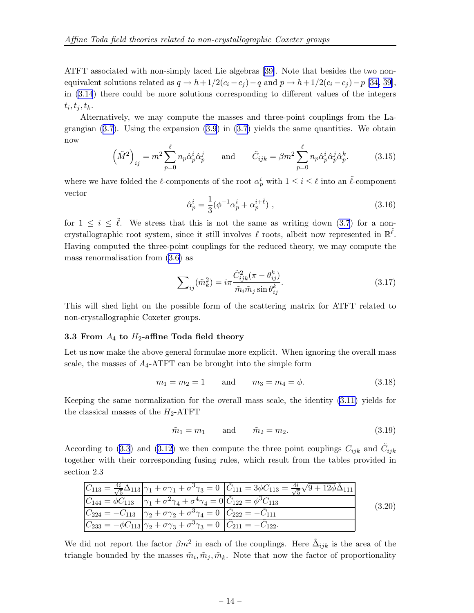<span id="page-14-0"></span>ATFT associated with non-simply laced Lie algebras[[39\]](#page-27-0). Note that besides the two nonequivalent solutions related as  $q \to h + 1/2(c_i - c_j) - q$  and  $p \to h + 1/2(c_i - c_j) - p$  [[34, 39\]](#page-27-0), in [\(3.14](#page-13-0)) there could be more solutions corresponding to different values of the integers  $t_i, t_j, t_k.$ 

Alternatively, we may compute the masses and three-point couplings from the Lagrangian  $(3.7)$  $(3.7)$ . Using the expansion  $(3.9)$  $(3.9)$  in  $(3.7)$  yields the same quantities. We obtain now

$$
\left(\tilde{M}^2\right)_{ij} = m^2 \sum_{p=0}^{\ell} n_p \hat{\alpha}_p^i \hat{\alpha}_p^j \quad \text{and} \quad \tilde{C}_{ijk} = \beta m^2 \sum_{p=0}^{\ell} n_p \hat{\alpha}_p^i \hat{\alpha}_p^j \hat{\alpha}_p^k. \tag{3.15}
$$

where we have folded the  $\ell$ -components of the root  $\alpha_p^i$  with  $1 \leq i \leq \ell$  into an  $\tilde{\ell}$ -component vector

$$
\hat{\alpha}_p^i = \frac{1}{3} (\phi^{-1} \alpha_p^i + \alpha_p^{i + \tilde{\ell}}) , \qquad (3.16)
$$

for  $1 \leq i \leq \tilde{\ell}$ . We stress that this is not the same as writing down [\(3.7](#page-12-0)) for a noncrystallographic root system, since it still involves  $\ell$  roots, albeit now represented in  $\mathbb{R}^{\tilde{\ell}}$ . Having computed the three-point couplings for the reduced theory, we may compute the mass renormalisation from ([3.6\)](#page-12-0) as

$$
\sum_{ij}(\tilde{m}_k^2) = i\pi \frac{\tilde{C}_{ijk}^2(\pi - \theta_{ij}^k)}{\tilde{m}_i \tilde{m}_j \sin \theta_{ij}^k}.
$$
\n(3.17)

This will shed light on the possible form of the scattering matrix for ATFT related to non-crystallographic Coxeter groups.

#### 3.3 From  $A_4$  to  $H_2$ -affine Toda field theory

Let us now make the above general formulae more explicit. When ignoring the overall mass scale, the masses of  $A_4$ -ATFT can be brought into the simple form

$$
m_1 = m_2 = 1
$$
 and  $m_3 = m_4 = \phi.$  (3.18)

Keeping the same normalization for the overall mass scale, the identity [\(3.11\)](#page-13-0) yields for the classical masses of the  $H_2$ -ATFT

$$
\tilde{m}_1 = m_1 \qquad \text{and} \qquad \tilde{m}_2 = m_2. \tag{3.19}
$$

According to [\(3.3](#page-11-0)) and ([3.12\)](#page-13-0) we then compute the three point couplings  $C_{ijk}$  and  $\tilde{C}_{ijk}$ together with their corresponding fusing rules, which result from the tables provided in section 2.3

|                                                                                                                     | $C_{113} = \frac{4i}{\sqrt{5}}\Delta_{113} \left[\gamma_1 + \sigma \gamma_1 + \sigma^3 \gamma_3 = 0 \right] \left[\ddot{C}_{111} = 3\phi C_{113} = \frac{4i}{\sqrt{5}}\sqrt{9 + 12\phi}\Delta_{111}\right]$ |        |
|---------------------------------------------------------------------------------------------------------------------|-------------------------------------------------------------------------------------------------------------------------------------------------------------------------------------------------------------|--------|
| $C_{144} = \phi C_{113}$ $ \gamma_1 + \sigma^2 \gamma_4 + \sigma^4 \gamma_4 = 0  \tilde{C}_{122} = \phi^3 C_{113}$  |                                                                                                                                                                                                             | (3.20) |
| $C_{224} = -C_{113}$ $\gamma_2 + \sigma \gamma_2 + \sigma^3 \gamma_4 = 0$ $\tilde{C}_{222} = -\tilde{C}_{111}$      |                                                                                                                                                                                                             |        |
| $C_{233} = -\phi C_{113} \gamma_2 + \sigma \gamma_3 + \sigma^3 \gamma_3 = 0$ $ \tilde{C}_{211} = -\tilde{C}_{122}.$ |                                                                                                                                                                                                             |        |

We did not report the factor  $\beta m^2$  in each of the couplings. Here  $\tilde{\Delta}_{ijk}$  is the area of the triangle bounded by the masses  $\tilde{m}_i, \tilde{m}_j, \tilde{m}_k$ . Note that now the factor of proportionality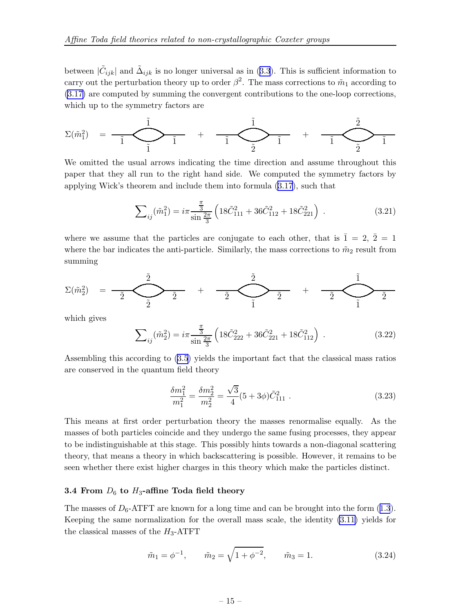between  $|\tilde{C}_{ijk}|$  and  $\tilde{\Delta}_{ijk}$  is no longer universal as in ([3.3](#page-11-0)). This is sufficient information to carry out the perturbation theory up to order  $\beta^2$ . The mass corrections to  $\tilde{m}_1$  according to [\(3.17\)](#page-14-0) are computed by summing the convergent contributions to the one-loop corrections, which up to the symmetry factors are

$$
\Sigma(\tilde m_1^2) \quad = \; \underbrace{-\tilde 1}_{\tilde 1} \qquad \qquad \overbrace{\tilde 1} \qquad + \qquad \underbrace{-\tilde 1}_{\tilde 2} \qquad \qquad \overbrace{\tilde 1} \qquad \qquad + \qquad \underbrace{-\tilde 2}_{\tilde 2} \qquad \qquad \overbrace{\tilde 1} \qquad \qquad
$$

We omitted the usual arrows indicating the time direction and assume throughout this paper that they all run to the right hand side. We computed the symmetry factors by applying Wick's theorem and include them into formula [\(3.17](#page-14-0)), such that

$$
\sum_{ij}(\tilde{m}_1^2) = i\pi \frac{\frac{\pi}{3}}{\sin \frac{2\pi}{3}} \left( 18\tilde{C}_{111}^2 + 36\tilde{C}_{112}^2 + 18\tilde{C}_{221}^2 \right) \,. \tag{3.21}
$$

where we assume that the particles are conjugate to each other, that is  $\overline{1} = 2, \overline{2} = 1$ where the bar indicates the anti-particle. Similarly, the mass corrections to  $\tilde{m}_2$  result from summing

$$
\Sigma(\tilde m_2^2) = \frac{\tilde 2}{\tilde 2} \sum_{\tilde 2}^{\tilde 2} + \frac{\tilde 2}{\tilde 2} + \frac{\tilde 2}{\tilde 2} + \frac{\tilde 1}{\tilde 2} \sum_{\tilde 1}^{\tilde 2}
$$

which gives

$$
\sum_{ij}(\tilde{m}_2^2) = i\pi \frac{\frac{\pi}{3}}{\sin\frac{2\pi}{3}} \left( 18\tilde{C}_{222}^2 + 36\tilde{C}_{221}^2 + 18\tilde{C}_{112}^2 \right) \,. \tag{3.22}
$$

Assembling this according to [\(3.5](#page-12-0)) yields the important fact that the classical mass ratios are conserved in the quantum field theory

$$
\frac{\delta m_1^2}{m_1^2} = \frac{\delta m_2^2}{m_2^2} = \frac{\sqrt{3}}{4} (5 + 3\phi) \tilde{C}_{111}^2 . \qquad (3.23)
$$

This means at first order perturbation theory the masses renormalise equally. As the masses of both particles coincide and they undergo the same fusing processes, they appear to be indistinguishable at this stage. This possibly hints towards a non-diagonal scattering theory, that means a theory in which backscattering is possible. However, it remains to be seen whether there exist higher charges in this theory which make the particles distinct.

#### 3.4 From  $D_6$  to  $H_3$ -affine Toda field theory

The masses of  $D_6$ -ATFT are known for a long time and can be brought into the form ([1.3](#page-2-0)). Keeping the same normalization for the overall mass scale, the identity [\(3.11\)](#page-13-0) yields for the classical masses of the  $H_3$ -ATFT

$$
\tilde{m}_1 = \phi^{-1}, \qquad \tilde{m}_2 = \sqrt{1 + \phi^{-2}}, \qquad \tilde{m}_3 = 1.
$$
\n(3.24)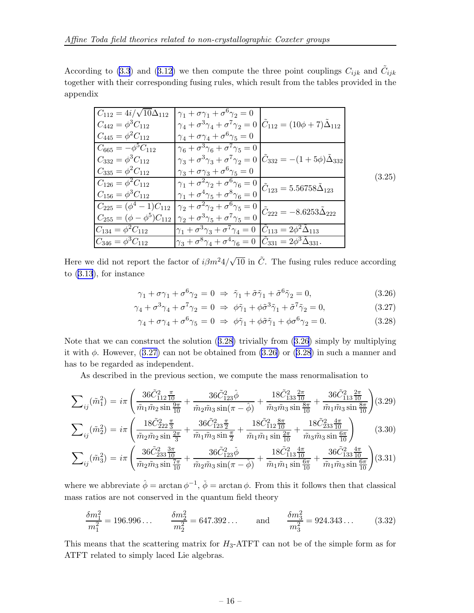According to [\(3.3](#page-11-0)) and ([3.12\)](#page-13-0) we then compute the three point couplings  $C_{ijk}$  and  $\tilde{C}_{ijk}$ together with their corresponding fusing rules, which result from the tables provided in the appendix

| $C_{112} = 4i/\sqrt{10}\Delta_{112}$ | $\gamma_1 + \sigma \gamma_1 + \sigma^6 \gamma_2 = 0$                                                                                                                      |                                                                                                                  |        |
|--------------------------------------|---------------------------------------------------------------------------------------------------------------------------------------------------------------------------|------------------------------------------------------------------------------------------------------------------|--------|
| $C_{442} = \phi^3 C_{112}$           | $\gamma_4 + \sigma^3 \gamma_4 + \sigma^7 \gamma_2 = 0$ $ \tilde{C}_{112} = (10\phi + 7)\tilde{\Delta}_{112}$                                                              |                                                                                                                  |        |
| $C_{445} = \phi^2 C_{112}$           | $\gamma_4 + \sigma \gamma_4 + \sigma^6 \gamma_5 = 0$                                                                                                                      |                                                                                                                  |        |
| $C_{665} = -\phi^5 C_{112}$          | $\gamma_6 + \sigma^3 \gamma_6 + \sigma^7 \gamma_5 = 0$                                                                                                                    |                                                                                                                  |        |
| $C_{332} = \phi^3 C_{112}$           |                                                                                                                                                                           | $\gamma_3 + \sigma^3 \gamma_3 + \sigma^7 \gamma_2 = 0 \vert \tilde{C}_{332} = -(1 + 5\phi) \tilde{\Delta}_{332}$ |        |
| $C_{335} = \phi^2 C_{112}$           | $\gamma_3 + \sigma \gamma_3 + \sigma^6 \gamma_5 = 0$                                                                                                                      |                                                                                                                  | (3.25) |
| $C_{126} = \phi^2 C_{112}$           | $\frac{\gamma_1 + \sigma^2 \gamma_2 + \sigma^6 \gamma_6 = 0}{\gamma_1 + \sigma^4 \gamma_5 + \sigma^8 \gamma_6 = 0} \Bigg  \tilde{C}_{123} = 5.56758 \tilde{\Delta}_{123}$ |                                                                                                                  |        |
| $C_{156} = \phi^3 C_{112}$           |                                                                                                                                                                           |                                                                                                                  |        |
| $C_{225} = (\phi^4 - 1)C_{112}$      | $\frac{1}{\gamma_2 + \sigma^2 \gamma_2 + \sigma^6 \gamma_5} = 0$ $\left[\tilde{C}_{222} = -8.6253 \tilde{\Delta}_{222}\right]$                                            |                                                                                                                  |        |
|                                      | $C_{255} = (\phi - \phi^5)C_{112}   \gamma_2 + \sigma^3 \gamma_5 + \sigma^7 \gamma_5 = 0$                                                                                 |                                                                                                                  |        |
| $C_{134} = \phi^2 C_{112}$           | $\gamma_1 + \sigma^3 \gamma_3 + \sigma^7 \gamma_4 = 0$ $\tilde{C}_{113} = 2\phi^2 \tilde{\Delta}_{113}$                                                                   |                                                                                                                  |        |
| $C_{346} = \phi^3 C_{112}$           | $\gamma_3 + \sigma^8 \gamma_4 + \sigma^4 \gamma_6 = 0$ $\ddot{C}_{331} = 2\phi^3 \Delta_{331}.$                                                                           |                                                                                                                  |        |

Here we did not report the factor of  $i\beta m^2 4/\sqrt{10}$  in  $\tilde{C}$ . The fusing rules reduce according to ([3.13](#page-13-0)), for instance

$$
\gamma_1 + \sigma \gamma_1 + \sigma^6 \gamma_2 = 0 \Rightarrow \tilde{\gamma}_1 + \tilde{\sigma} \tilde{\gamma}_1 + \tilde{\sigma}^6 \tilde{\gamma}_2 = 0, \tag{3.26}
$$

$$
\gamma_4 + \sigma^3 \gamma_4 + \sigma^7 \gamma_2 = 0 \Rightarrow \phi \tilde{\gamma}_1 + \phi \tilde{\sigma}^3 \tilde{\gamma}_1 + \tilde{\sigma}^7 \tilde{\gamma}_2 = 0, \tag{3.27}
$$

$$
\gamma_4 + \sigma \gamma_4 + \sigma^6 \gamma_5 = 0 \Rightarrow \phi \tilde{\gamma}_1 + \phi \tilde{\sigma} \tilde{\gamma}_1 + \phi \sigma^6 \gamma_2 = 0. \tag{3.28}
$$

Note that we can construct the solution (3.28) trivially from (3.26) simply by multiplying it with  $\phi$ . However, (3.27) can not be obtained from (3.26) or (3.28) in such a manner and has to be regarded as independent.

As described in the previous section, we compute the mass renormalisation to

$$
\sum_{ij}(\tilde{m}_1^2) = i\pi \left( \frac{36\tilde{C}_{112\overline{10}}^2}{\tilde{m}_1 \tilde{m}_2 \sin \frac{9\pi}{10}} + \frac{36\tilde{C}_{123}^2 \hat{\phi}}{\tilde{m}_2 \tilde{m}_3 \sin(\pi - \hat{\phi})} + \frac{18\tilde{C}_{133\overline{10}}^2}{\tilde{m}_3 \tilde{m}_3 \sin \frac{8\pi}{10}} + \frac{36\tilde{C}_{113\overline{10}}^2}{\tilde{m}_1 \tilde{m}_3 \sin \frac{8\pi}{10}} \right) (3.29)
$$
  

$$
\sum_{ij}(\tilde{m}_2^2) = i\pi \left( \frac{18\tilde{C}_{222\overline{3}}^2}{\tilde{m}_2 \tilde{m}_2 \sin \frac{2\pi}{3}} + \frac{36\tilde{C}_{123\overline{2}}^2}{\tilde{m}_1 \tilde{m}_3 \sin \frac{\pi}{2}} + \frac{18\tilde{C}_{112\overline{10}}^2}{\tilde{m}_1 \tilde{m}_1 \sin \frac{2\pi}{10}} + \frac{18\tilde{C}_{233\overline{10}}^2}{\tilde{m}_3 \tilde{m}_3 \sin \frac{6\pi}{10}} \right) \qquad (3.30)
$$

$$
\sum_{ij}(\tilde{m}_3^2) = i\pi \left( \frac{36\tilde{C}_{233}^2 \frac{3\pi}{10}}{\tilde{m}_2 \tilde{m}_3 \sin\frac{7\pi}{10}} + \frac{36\tilde{C}_{123}^2 \check{\phi}}{\tilde{m}_2 \tilde{m}_3 \sin(\pi - \check{\phi})} + \frac{18\tilde{C}_{113}^2 \frac{4\pi}{10}}{\tilde{m}_1 \tilde{m}_1 \sin\frac{6\pi}{10}} + \frac{36\tilde{C}_{133}^2 \frac{4\pi}{10}}{\tilde{m}_1 \tilde{m}_3 \sin\frac{6\pi}{10}} \right) (3.31)
$$

where we abbreviate  $\hat{\phi} = \arctan \phi^{-1}$ ,  $\check{\phi} = \arctan \phi$ . From this it follows then that classical mass ratios are not conserved in the quantum field theory

$$
\frac{\delta m_1^2}{m_1^2} = 196.996\ldots \qquad \frac{\delta m_2^2}{m_2^2} = 647.392\ldots \qquad \text{and} \qquad \frac{\delta m_3^2}{m_3^2} = 924.343\ldots \qquad (3.32)
$$

This means that the scattering matrix for  $H_3$ -ATFT can not be of the simple form as for ATFT related to simply laced Lie algebras.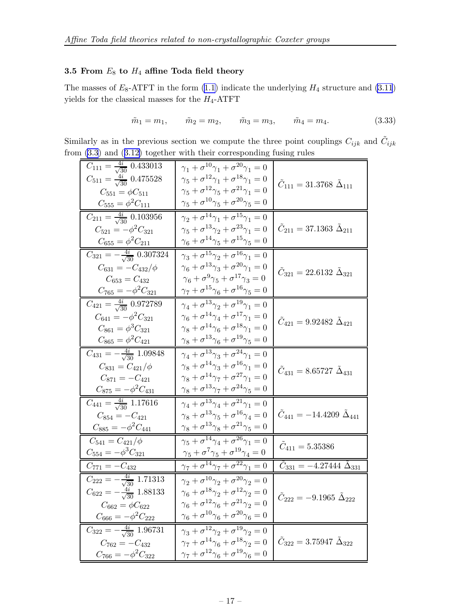### 3.5 From  $E_8$  to  $H_4$  affine Toda field theory

The masses of  $E_8$ -ATFT in the form [\(1.1\)](#page-1-0) indicate the underlying  $H_4$  structure and [\(3.11](#page-13-0)) yields for the classical masses for the  $H_4\text{-ATFT}$ 

$$
\tilde{m}_1 = m_1, \qquad \tilde{m}_2 = m_2, \qquad \tilde{m}_3 = m_3, \qquad \tilde{m}_4 = m_4. \tag{3.33}
$$

Similarly as in the previous section we compute the three point couplings  $C_{ijk}$  and  $\tilde{C}_{ijk}$ from  $(3.3)$  $(3.3)$  and  $(3.12)$  $(3.12)$  together with their corresponding fusing rules

| $C_{111} = \frac{4i}{\sqrt{30}} 0.433013$             | $\gamma_1+\sigma^{10}\gamma_1+\sigma^{20}\gamma_1=0$                    |                                                      |
|-------------------------------------------------------|-------------------------------------------------------------------------|------------------------------------------------------|
| $C_{511} = \frac{4i}{\sqrt{30}} 0.475528$             | $\gamma_5+\sigma^{12}\gamma_1+\sigma^{18}\gamma_1=0$                    |                                                      |
| $C_{551} = \phi C_{511}$                              | $\gamma_5+\sigma^{12}\gamma_5+\sigma^{21}\gamma_1=0$                    | $\tilde{C}_{111} = 31.3768 \; \tilde{\Delta}_{111}$  |
| $C_{555}=\phi^2 C_{111}$                              | $\gamma_5 + \sigma^{10} \gamma_5 + \sigma^{20} \gamma_5 = 0$            |                                                      |
| $C_{211} = \frac{4i}{\sqrt{30}} 0.103956$             | $\gamma_2+\sigma^{14}\gamma_1+\sigma^{\overline{15}}\gamma_1=0$         |                                                      |
| $C_{521} = -\phi^2 C_{321}$                           | $\gamma_5+\sigma^{13}\gamma_2+\sigma^{23}\gamma_1=0$                    | $\tilde{C}_{211} = 37.1363 \; \tilde{\Delta}_{211}$  |
| $C_{655} = \phi^2 C_{211}$                            | $\gamma_6 + \sigma^{14}\gamma_5 + \sigma^{15}\gamma_5 = 0$              |                                                      |
| $C_{321} = \overline{-\frac{4i}{\sqrt{30}} 0.307324}$ | $\gamma_3+\sigma^{15}\gamma_2+\sigma^{16}\gamma_1=0$                    |                                                      |
| $C_{631} = -C_{432}/\phi$                             | $\gamma_6 + \sigma^{13} \gamma_3 + \sigma^{20} \gamma_1 = 0$            | $\tilde{C}_{321} = 22.6132 \; \tilde{\Delta}_{321}$  |
| $C_{653} = C_{432}$                                   | $\gamma_6+\sigma^9\gamma_5+\sigma^{17}\gamma_3=0$                       |                                                      |
| $C_{765} = -\phi^2 C_{321}$                           | $\gamma_7 + \sigma^{15}\gamma_6 + \sigma^{16}\gamma_5 = 0$              |                                                      |
| $C_{421} = \frac{4i}{\sqrt{30}} 0.972789$             | $\overline{\gamma_4 + \sigma^{13} \gamma_2} + \sigma^{19} \gamma_1 = 0$ |                                                      |
| $C_{641} = -\phi^2 C_{321}$                           | $\gamma_6+\sigma^{14}\gamma_4+\sigma^{17}\gamma_1=0$                    | $\tilde{C}_{421} = 9.92482 \; \tilde{\Delta}_{421}$  |
| $C_{861} = \phi^3 C_{321}$                            | $\gamma_8+\sigma^{14}\gamma_6+\sigma^{18}\gamma_1=0$                    |                                                      |
| $C_{865} = \phi^2 C_{421}$                            | $\gamma_8 + \sigma^{13} \gamma_6 + \sigma^{19} \gamma_5 = 0$            |                                                      |
| $C_{431} = -\frac{4i}{\sqrt{30}} 1.09848$             | $\gamma_4 + \sigma^{13} \gamma_3 + \sigma^{24} \gamma_1 = 0$            |                                                      |
| $C_{831} = C_{421}/\phi$                              | $\gamma_8+\sigma^{14}\gamma_3+\sigma^{16}\gamma_1=0$                    | $\tilde{C}_{431} = 8.65727 \; \tilde{\Delta}_{431}$  |
| $C_{871} = -C_{421}$                                  | $\gamma_8+\sigma^{14}\gamma_7+\sigma^{27}\gamma_1=0$                    |                                                      |
| $C_{875} = -\phi^2 C_{431}$                           | $\gamma_8 + \sigma^{13} \gamma_7 + \sigma^{24} \gamma_5 = 0$            |                                                      |
| $C_{441} = \frac{4i}{\sqrt{30}} 1.17616$              | $\gamma_4+\sigma^{13}\gamma_4+\sigma^{21}\gamma_1=0$                    |                                                      |
| $C_{854} = -C_{421}$                                  | $\gamma_8+\sigma^{13}\gamma_5+\sigma^{16}\gamma_4=0$                    | $\tilde{C}_{441} = -14.4209 \; \tilde{\Delta}_{441}$ |
| $C_{885} = -\phi^2 C_{441}$                           | $\gamma_8 + \sigma^{13} \gamma_8 + \sigma^{21} \gamma_5 = 0$            |                                                      |
| $C_{541} = C_{421}/\phi$                              | $\gamma_5 + \sigma^{14} \gamma_4 + \sigma^{26} \gamma_1 = 0$            |                                                      |
| $C_{554} = -\phi^3 C_{321}$                           | $\gamma_5+\sigma^7\gamma_5+\sigma^{19}\gamma_4=0$                       | $\tilde{C}_{411} = 5.35386$                          |
| $C_{771} = -C_{432}$                                  | $\gamma_7+\sigma^{14}\gamma_7+\sigma^{22}\gamma_1=0$                    | $\tilde{C}_{331} = -4.27444 \ \tilde{\Delta}_{331}$  |
| $C_{222} = -\frac{4i}{\sqrt{30}}$ 1.71313             | $\gamma_2+\sigma^{10}\gamma_2+\sigma^{20}\gamma_2=0$                    |                                                      |
| $C_{622} = -\frac{4i}{\sqrt{30}}$ 1.88133             | $\gamma_6+\sigma^{18}\gamma_2+\sigma^{12}\gamma_2=0$                    | $\tilde{C}_{222} = -9.1965 \; \tilde{\Delta}_{222}$  |
| $C_{662} = \phi C_{622}$                              | $\gamma_6+\sigma^{12}\gamma_6+\sigma^{21}\gamma_2=0$                    |                                                      |
| $C_{666} = -\phi^2 C_{222}$                           | $\gamma_6+\sigma^{10}\gamma_6+\sigma^{20}\gamma_6=0$                    |                                                      |
| $C_{322} = -\frac{4i}{\sqrt{30}} 1.96731$             | $\gamma_3+\sigma^{12}\overline{\gamma_2+\sigma^{19}\gamma_2}=0$         |                                                      |
| $C_{762} = -C_{432}$                                  | $\gamma_7+\sigma^{14}\gamma_6+\sigma^{18}\gamma_2=0$                    | $\tilde{C}_{322} = 3.75947 \; \tilde{\Delta}_{322}$  |
| $C_{766} = -\phi^2 C_{322}$                           | $\gamma_7+\sigma^{12}\gamma_6+\sigma^{19}\gamma_6=0$                    |                                                      |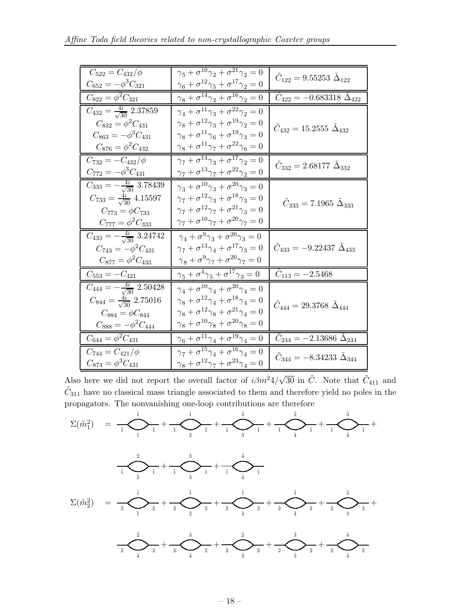| $C_{522} = C_{432}/\phi$                              | $\gamma_5 + \sigma^{10}\gamma_2 + \sigma^{21}\gamma_2 = 0$           | $C_{122} = 9.55253 \Delta_{122}$                      |
|-------------------------------------------------------|----------------------------------------------------------------------|-------------------------------------------------------|
| $C_{652} = -\phi^3 C_{321}$                           | $\gamma_6+\sigma^{12}\gamma_5+\sigma^{17}\gamma_2=0$                 |                                                       |
| $C_{822} = \phi^2 C_{321}$                            | $\gamma_8+\sigma^{14}\gamma_2+\overline{\sigma^{16}\gamma_2=0}$      | $\tilde{C}_{422} = -0.683318 \; \tilde{\Delta}_{422}$ |
| $\overline{C_{432} = \frac{4i}{\sqrt{30}} 2.37859}$   | $\gamma_4+\sigma^{11}\gamma_3+\sigma^{22}\gamma_2=0$                 |                                                       |
| $C_{832} = \phi^2 C_{431}$                            | $\gamma_8+\sigma^{12}\gamma_3+\sigma^{19}\gamma_2=0$                 | $C_{432} = 15.2555 \Delta_{432}$                      |
| $C_{863} = -\phi^3 C_{431}$                           | $\gamma_8+\sigma^{11}\gamma_6+\sigma^{19}\gamma_3=0$                 |                                                       |
| $C_{876} = \phi^2 C_{432}$                            | $\gamma_8+\sigma^{11}\gamma_7+\sigma^{22}\gamma_6=0$                 |                                                       |
| $C_{732} = -C_{432}/\phi$                             | $\gamma_7+\sigma^{14}\gamma_3+\sigma^{17}\gamma_2=0$                 | $\tilde{C}_{332} = 2.68177 \; \tilde{\Delta}_{332}$   |
| $C_{772} = -\phi^3 C_{431}$                           | $\gamma_7+\sigma^{13}\gamma_7+\sigma^{22}\gamma_2=0$                 |                                                       |
| $\overline{C_{333}=-\frac{4i}{\sqrt{30}}3.78439}$     | $\gamma_3 + \sigma^{10}\gamma_3 + \sigma^{20}\gamma_3 = 0$           |                                                       |
| $C_{733} = \frac{4i}{\sqrt{30}} 4.15597$              | $\gamma_7+\sigma^{12}\gamma_3+\sigma^{18}\gamma_3=0$                 | $\tilde{C}_{333} = 7.1965 \; \tilde{\Delta}_{333}$    |
| $C_{773} = \phi C_{733}$                              | $\gamma_7+\sigma^{12}\gamma_7+\sigma^{21}\gamma_3=0$                 |                                                       |
| $C_{777} = \phi^2 C_{333}$                            | $\gamma_7 + \sigma^{10}\gamma_7 + \sigma^{20}\gamma_7 = 0$           |                                                       |
| $C_{433} = -\frac{4i}{\sqrt{30}}$ 3.24742             | $\gamma_4+\sigma^9\gamma_3+\overline{\sigma^{20}\gamma_3=0}$         |                                                       |
| $C_{743} = -\phi^2 C_{431}$                           | $\gamma_7+\sigma^{13}\gamma_4+\sigma^{17}\gamma_3=0$                 | $\tilde{C}_{433} = -9.22437 \; \tilde{\Delta}_{433}$  |
| $C_{877} = \phi^2 C_{433}$                            | $\gamma_8+\sigma^9\gamma_7+\sigma^{20}\gamma_7=0$                    |                                                       |
| $C_{553} = -C_{421}$                                  | $\overline{\gamma_5 + \sigma^4 \gamma_5 + \sigma^{17} \gamma_3} = 0$ | $\tilde{C}_{113} = -2.5468$                           |
| $\overline{C_{444} = -\frac{4i}{\sqrt{30}}}\,2.50428$ | $\gamma_4+\sigma^{10}\gamma_4+\sigma^{20}\gamma_4=0$                 |                                                       |
| $C_{844} = \frac{4i}{\sqrt{30}}$ 2.75016              | $\gamma_8+\sigma^{12}\gamma_4+\sigma^{18}\gamma_4=0$                 | $\tilde{C}_{444} = 29.3768 \; \tilde{\Delta}_{444}$   |
| $C_{884} = \phi C_{844}$                              | $\gamma_8 + \sigma^{12} \gamma_8 + \sigma^{21} \gamma_4 = 0$         |                                                       |
| $C_{888} = -\phi^2 C_{444}$                           | $\gamma_8 + \sigma^{10}\gamma_8 + \sigma^{20}\gamma_8 = 0$           |                                                       |
| $C_{644} = \phi^2 C_{431}$                            | $\gamma_6+\sigma^{11}\gamma_4+\sigma^{19}\gamma_4=0$                 | $\tilde{C}_{244} = -2.13686 \; \tilde{\Delta}_{244}$  |
| $C_{744} = C_{421}/\phi$                              | $\gamma_7 + \sigma^{15}\gamma_4 + \sigma^{16}\gamma_4 = 0$           | $\tilde{C}_{344} = -8.34233 \; \tilde{\Delta}_{344}$  |
| $C_{874} = \phi^3 C_{431}$                            | $\gamma_8+\sigma^{12}\gamma_7+\sigma^{23}\gamma_4=0$                 |                                                       |

Also here we did not report the overall factor of  $i\beta m^2 4/\sqrt{30}$  in  $\tilde{C}$ . Note that  $\tilde{C}_{411}$  and  $\tilde{C}_{311}$  have no classical mass triangle associated to them and therefore yield no poles in the propagators. The nonvanishing one-loop contributions are therefore

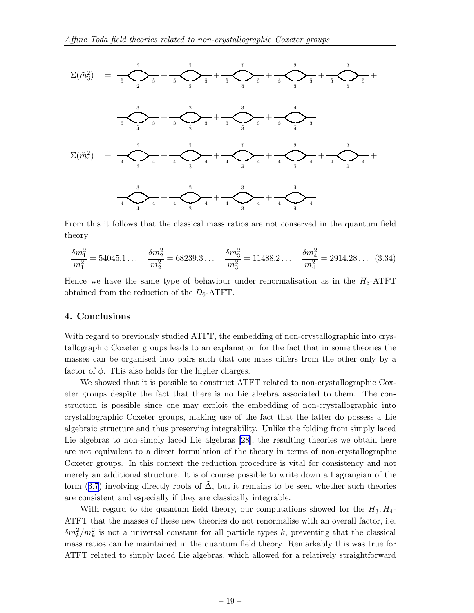

From this it follows that the classical mass ratios are not conserved in the quantum field theory

$$
\frac{\delta m_1^2}{m_1^2} = 54045.1 \dots \quad \frac{\delta m_2^2}{m_2^2} = 68239.3 \dots \quad \frac{\delta m_3^2}{m_3^2} = 11488.2 \dots \quad \frac{\delta m_4^2}{m_4^2} = 2914.28 \dots \tag{3.34}
$$

Hence we have the same type of behaviour under renormalisation as in the  $H_3$ -ATFT obtained from the reduction of the  $D_6$ -ATFT.

#### 4. Conclusions

With regard to previously studied ATFT, the embedding of non-crystallographic into crystallographic Coxeter groups leads to an explanation for the fact that in some theories the masses can be organised into pairs such that one mass differs from the other only by a factor of  $\phi$ . This also holds for the higher charges.

We showed that it is possible to construct ATFT related to non-crystallographic Coxeter groups despite the fact that there is no Lie algebra associated to them. The construction is possible since one may exploit the embedding of non-crystallographic into crystallographic Coxeter groups, making use of the fact that the latter do possess a Lie algebraic structure and thus preserving integrability. Unlike the folding from simply laced Lie algebras to non-simply laced Lie algebras [\[28](#page-27-0)], the resulting theories we obtain here are not equivalent to a direct formulation of the theory in terms of non-crystallographic Coxeter groups. In this context the reduction procedure is vital for consistency and not merely an additional structure. It is of course possible to write down a Lagrangian of the form ([3.7\)](#page-12-0) involving directly roots of  $\Delta$ , but it remains to be seen whether such theories are consistent and especially if they are classically integrable.

With regard to the quantum field theory, our computations showed for the  $H_3, H_4$ -ATFT that the masses of these new theories do not renormalise with an overall factor, i.e.  $\delta m_k^2/m_k^2$  is not a universal constant for all particle types k, preventing that the classical mass ratios can be maintained in the quantum field theory. Remarkably this was true for ATFT related to simply laced Lie algebras, which allowed for a relatively straightforward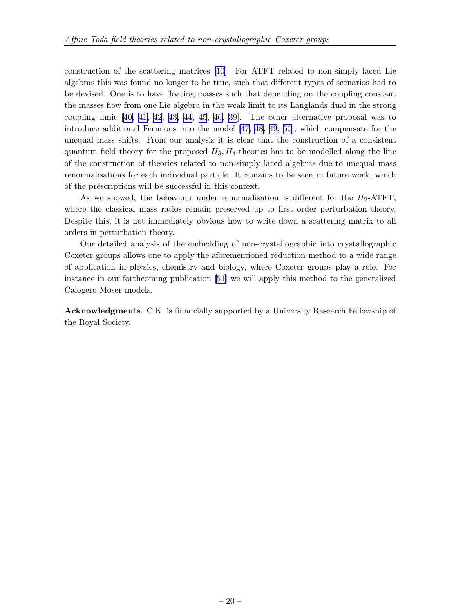construction of the scattering matrices [\[10](#page-26-0)]. For ATFT related to non-simply laced Lie algebras this was found no longer to be true, such that different types of scenarios had to be devised. One is to have floating masses such that depending on the coupling constant the masses flow from one Lie algebra in the weak limit to its Langlands dual in the strong coupling limit[[40,](#page-27-0) [41, 42](#page-28-0), [43, 44](#page-28-0), [45](#page-28-0), [46,](#page-28-0) [39](#page-27-0)]. The other alternative proposal was to introduce additional Fermions into the model [\[47](#page-28-0), [48](#page-28-0), [49](#page-28-0), [50\]](#page-28-0), which compensate for the unequal mass shifts. From our analysis it is clear that the construction of a consistent quantum field theory for the proposed  $H_3$ ,  $H_4$ -theories has to be modelled along the line of the construction of theories related to non-simply laced algebras due to unequal mass renormalisations for each individual particle. It remains to be seen in future work, which of the prescriptions will be successful in this context.

As we showed, the behaviour under renormalisation is different for the  $H_2$ -ATFT, where the classical mass ratios remain preserved up to first order perturbation theory. Despite this, it is not immediately obvious how to write down a scattering matrix to all orders in perturbation theory.

Our detailed analysis of the embedding of non-crystallographic into crystallographic Coxeter groups allows one to apply the aforementioned reduction method to a wide range of application in physics, chemistry and biology, where Coxeter groups play a role. For instance in our forthcoming publication [\[51](#page-28-0)] we will apply this method to the generalized Calogero-Moser models.

Acknowledgments. C.K. is financially supported by a University Research Fellowship of the Royal Society.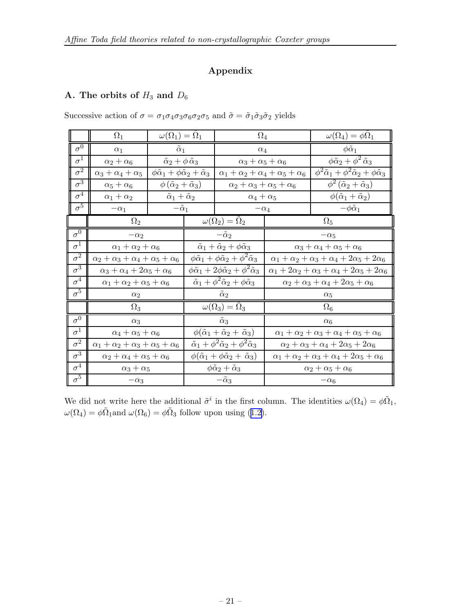### Appendix

## A. The orbits of  $H_3$  and  $D_6$

|                         | $\Omega_1$                                     | $\omega(\Omega_1) = \Omega_1$                                      |  | $\Omega_4$                                                                                                                        |            | $\omega(\Omega_4)=\phi\Omega_1$                                             |
|-------------------------|------------------------------------------------|--------------------------------------------------------------------|--|-----------------------------------------------------------------------------------------------------------------------------------|------------|-----------------------------------------------------------------------------|
| $\sigma^{\overline{0}}$ | $\alpha_1$                                     | $\tilde{\alpha}_1$                                                 |  | $\alpha_4$                                                                                                                        |            | $\phi \tilde{\alpha}_1$                                                     |
| $\sigma^1$              | $\alpha_2+\alpha_6$                            | $\tilde{\alpha}_2 + \phi \tilde{\alpha}_3$                         |  | $\alpha_3 + \alpha_5 + \alpha_6$                                                                                                  |            | $\phi \tilde{\alpha}_2 + \phi^2 \tilde{\alpha}_3$                           |
| $\sigma^2$              | $\alpha_3+\alpha_4+\alpha_5$                   | $\phi \tilde{\alpha}_1 + \phi \tilde{\alpha}_2 + \tilde{\alpha}_3$ |  | $\alpha_1+\alpha_2+\alpha_4+\alpha_5+\alpha_6$                                                                                    |            | $\phi^2 \tilde{\alpha}_1 + \phi^2 \tilde{\alpha}_2 + \phi \tilde{\alpha}_3$ |
| $\overline{\sigma^3}$   | $\alpha_5+\alpha_6$                            | $\phi\left(\tilde{\alpha}_2+\tilde{\alpha}_3\right)$               |  | $\alpha_2+\alpha_3+\alpha_5+\alpha_6$                                                                                             |            | $\phi^2(\tilde{\alpha}_2+\tilde{\alpha}_3)$                                 |
| $\sigma^4$              | $\alpha_1+\alpha_2$                            | $\tilde{\alpha}_1 + \tilde{\alpha}_2$                              |  | $\alpha_4+\alpha_5$                                                                                                               |            | $\phi(\tilde{\alpha}_1+\tilde{\alpha}_2)$                                   |
| $\sigma^5$              | $-\alpha_1$                                    | $-\tilde{\alpha}_1$                                                |  | $-\alpha_4$                                                                                                                       |            | $-\phi\tilde{\alpha}_1$                                                     |
|                         | $\Omega_2$                                     |                                                                    |  | $\omega(\Omega_2) = \Omega_2$                                                                                                     |            | $\Omega_5$                                                                  |
| $\sigma^0$              | $-\alpha_2$                                    |                                                                    |  | $-\tilde{\alpha}_2$                                                                                                               |            | $-\alpha_5$                                                                 |
| $\sigma^1$              |                                                | $\alpha_1+\alpha_2+\alpha_6$                                       |  | $\tilde{\alpha}_1 + \tilde{\alpha}_2 + \phi \tilde{\alpha}_3$<br>$\alpha_3+\alpha_4+\alpha_5+\alpha_6$                            |            |                                                                             |
| $\sigma^2$              | $\alpha_2+\alpha_3+\alpha_4+\alpha_5+\alpha_6$ |                                                                    |  | $\phi\tilde{\alpha}_1+\phi\tilde{\alpha}_2+\phi^2\tilde{\alpha}_3$<br>$\alpha_1+\alpha_2+\alpha_3+\alpha_4+2\alpha_5+2\alpha_6$   |            |                                                                             |
| $\sigma^3$              | $\alpha_3+\alpha_4+2\alpha_5+\alpha_6$         |                                                                    |  | $\phi\tilde{\alpha}_1+2\phi\tilde{\alpha}_2+\phi^2\tilde{\alpha}_3$<br>$\alpha_1+2\alpha_2+\alpha_3+\alpha_4+2\alpha_5+2\alpha_6$ |            |                                                                             |
| $\sigma^4$              | $\alpha_1 + \alpha_2 + \alpha_5 + \alpha_6$    |                                                                    |  | $\tilde{\alpha}_1 + \phi^2 \tilde{\alpha}_2 + \phi \tilde{\alpha}_3$                                                              |            | $\alpha_2+\alpha_3+\alpha_4+2\alpha_5+\alpha_6$                             |
| $\sigma^5$              | $\alpha_2$                                     |                                                                    |  | $\tilde{\alpha}_2$                                                                                                                | $\alpha_5$ |                                                                             |
|                         | $\Omega_3$                                     |                                                                    |  | $\omega(\Omega_3) = \Omega_3$                                                                                                     |            | $\Omega_6$                                                                  |
| $\sigma^{\overline{0}}$ | $\alpha_3$                                     |                                                                    |  | $\tilde{\alpha}_3$                                                                                                                |            | $\alpha_6$                                                                  |
| $\sigma^1$              | $\alpha_4+\alpha_5+\alpha_6$                   |                                                                    |  | $\phi(\tilde{\alpha}_1+\tilde{\alpha}_2+\tilde{\alpha}_3)$                                                                        |            | $\alpha_1+\alpha_2+\alpha_3+\alpha_4+\alpha_5+\alpha_6$                     |
| $\sigma^2$              | $\alpha_1+\alpha_2+\alpha_3+\alpha_5+\alpha_6$ |                                                                    |  | $\tilde{\alpha}_1 + \phi^2 \tilde{\alpha}_2 + \phi^2 \tilde{\alpha}_3$                                                            |            | $\alpha_2+\alpha_3+\alpha_4+2\alpha_5+2\alpha_6$                            |
| $\sigma^3$              | $\alpha_2 + \alpha_4 + \alpha_5 + \alpha_6$    |                                                                    |  | $\phi(\tilde{\alpha}_1+\phi\tilde{\alpha}_2+\tilde{\alpha}_3)$                                                                    |            | $\alpha_1+\alpha_2+\alpha_3+\alpha_4+2\alpha_5+\alpha_6$                    |
| $\sigma^4$              | $\alpha_3+\alpha_5$                            |                                                                    |  | $\phi \tilde{\alpha}_2 + \tilde{\alpha}_3$                                                                                        |            | $\alpha_2 + \alpha_5 + \alpha_6$                                            |
| $\sigma^5$              | $-\alpha_3$                                    |                                                                    |  | $-\tilde{\alpha}_3$                                                                                                               |            | $-\alpha_6$                                                                 |

Successive action of  $\sigma = \sigma_1 \sigma_4 \sigma_3 \sigma_6 \sigma_2 \sigma_5$  and  $\tilde{\sigma} = \tilde{\sigma}_1 \tilde{\sigma}_3 \tilde{\sigma}_2$  yields

We did not write here the additional  $\tilde{\sigma}^i$  in the first column. The identities  $\omega(\Omega_4) = \phi \tilde{\Omega}_1$ ,  $\omega(\Omega_4) = \phi \tilde{\Omega}_1$  and  $\omega(\Omega_6) = \phi \tilde{\Omega}_3$  follow upon using ([1.2\)](#page-2-0).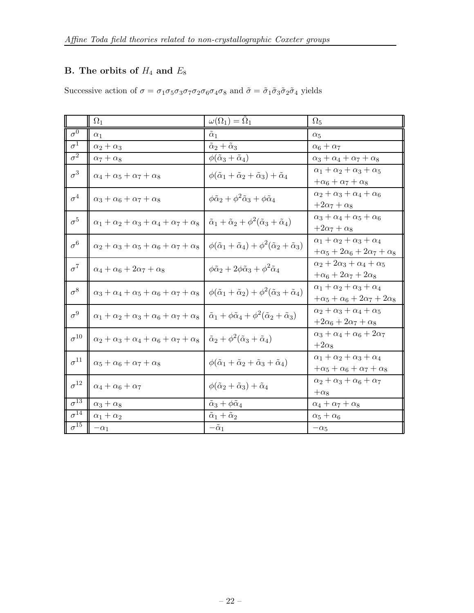## B. The orbits of  $H_4$  and  $E_8$

Successive action of  $\sigma = \sigma_1 \sigma_5 \sigma_3 \sigma_7 \sigma_2 \sigma_6 \sigma_4 \sigma_8$  and  $\tilde{\sigma} = \tilde{\sigma}_1 \tilde{\sigma}_3 \tilde{\sigma}_2 \tilde{\sigma}_4$  yields

|                           | $\Omega_1$                                              | $\omega(\Omega_1)=\Omega_1$                                                               | $\Omega_5$                                                                                    |
|---------------------------|---------------------------------------------------------|-------------------------------------------------------------------------------------------|-----------------------------------------------------------------------------------------------|
| $\sigma^0$                | $\alpha_1$                                              | $\alpha_1$                                                                                | $\alpha_5$                                                                                    |
| $\sigma^1$                | $\alpha_2+\alpha_3$                                     | $\tilde{\alpha}_2 + \tilde{\alpha}_3$                                                     | $\alpha_6 + \alpha_7$                                                                         |
| $\overline{\sigma^2}$     | $\alpha_7+\alpha_8$                                     | $\phi(\tilde{\alpha}_3+\tilde{\alpha}_4)$                                                 | $\alpha_3 + \alpha_4 + \alpha_7 + \alpha_8$                                                   |
| $\sigma^3$                | $\alpha_4 + \alpha_5 + \alpha_7 + \alpha_8$             | $\phi(\tilde{\alpha}_1+\tilde{\alpha}_2+\tilde{\alpha}_3)+\tilde{\alpha}_4$               | $\alpha_1+\alpha_2+\alpha_3+\alpha_5$<br>$+\alpha_6 + \alpha_7 + \alpha_8$                    |
| $\sigma^4$                | $\alpha_3+\alpha_6+\alpha_7+\alpha_8$                   | $\phi \tilde{\alpha}_2 + \phi^2 \tilde{\alpha}_3 + \phi \tilde{\alpha}_4$                 | $\alpha_2 + \alpha_3 + \alpha_4 + \alpha_6$<br>$+2\alpha_7+\alpha_8$                          |
| $\sigma^5$                | $\alpha_1+\alpha_2+\alpha_3+\alpha_4+\alpha_7+\alpha_8$ | $\tilde{\alpha}_1 + \tilde{\alpha}_2 + \phi^2(\tilde{\alpha}_3 + \tilde{\alpha}_4)$       | $\alpha_3+\alpha_4+\alpha_5+\alpha_6$<br>$+2\alpha_7+\alpha_8$                                |
| $\sigma^6$                | $\alpha_2+\alpha_3+\alpha_5+\alpha_6+\alpha_7+\alpha_8$ | $\phi(\tilde{\alpha}_1+\tilde{\alpha}_4)+\phi^2(\tilde{\alpha}_2+\tilde{\alpha}_3)$       | $\alpha_1 + \alpha_2 + \alpha_3 + \alpha_4$<br>$+\alpha_5+2\alpha_6+2\alpha_7+\alpha_8$       |
| $\sigma^7$                | $\alpha_4+\alpha_6+2\alpha_7+\alpha_8$                  | $\phi \tilde{\alpha}_2 + 2\phi \tilde{\alpha}_3 + \phi^2 \tilde{\alpha}_4$                | $\alpha_2 + 2\alpha_3 + \alpha_4 + \alpha_5$<br>$+\alpha_6 + 2\alpha_7 + 2\alpha_8$           |
| $\sigma^8$                | $\alpha_3+\alpha_4+\alpha_5+\alpha_6+\alpha_7+\alpha_8$ | $\phi(\tilde{\alpha}_1+\tilde{\alpha}_2)+\phi^2(\tilde{\alpha}_3+\tilde{\alpha}_4)$       | $\alpha_1 + \alpha_2 + \alpha_3 + \alpha_4$<br>$+\alpha_5 + \alpha_6 + 2\alpha_7 + 2\alpha_8$ |
| $\sigma^9$                | $\alpha_1+\alpha_2+\alpha_3+\alpha_6+\alpha_7+\alpha_8$ | $\tilde{\alpha}_1 + \phi \tilde{\alpha}_4 + \phi^2 (\tilde{\alpha}_2 + \tilde{\alpha}_3)$ | $\alpha_2 + \alpha_3 + \alpha_4 + \alpha_5$<br>$+2\alpha_6+2\alpha_7+\alpha_8$                |
| $\sigma^{10}$             | $\alpha_2+\alpha_3+\alpha_4+\alpha_6+\alpha_7+\alpha_8$ | $\tilde{\alpha}_2 + \phi^2(\tilde{\alpha}_3 + \tilde{\alpha}_4)$                          | $\alpha_3+\alpha_4+\alpha_6+2\alpha_7$<br>$+2\alpha_8$                                        |
| $\sigma^{11}$             | $\alpha_5 + \alpha_6 + \alpha_7 + \alpha_8$             | $\phi(\tilde{\alpha}_1+\tilde{\alpha}_2+\tilde{\alpha}_3+\tilde{\alpha}_4)$               | $\alpha_1 + \alpha_2 + \alpha_3 + \alpha_4$<br>$+\alpha_5+\alpha_6+\alpha_7+\alpha_8$         |
| $\sigma^{12}$             | $\alpha_4+\alpha_6+\alpha_7$                            | $\phi(\tilde{\alpha}_2+\tilde{\alpha}_3)+\tilde{\alpha}_4$                                | $\alpha_2 + \alpha_3 + \alpha_6 + \alpha_7$<br>$+\alpha_8$                                    |
| $\sigma^{13}$             | $\alpha_3+\alpha_8$                                     | $\tilde{\alpha}_3 + \phi \tilde{\alpha}_4$                                                | $\alpha_4 + \alpha_7 + \alpha_8$                                                              |
| $\sigma^{\bar{1}\bar{4}}$ | $\alpha_1 + \alpha_2$                                   | $\tilde{\alpha}_1+\tilde{\alpha}_2$                                                       | $\alpha_5+\alpha_6$                                                                           |
| $\sigma^{\overline{15}}$  | $-\alpha_1$                                             | $-\tilde{\alpha}_1$                                                                       | $-\alpha_5$                                                                                   |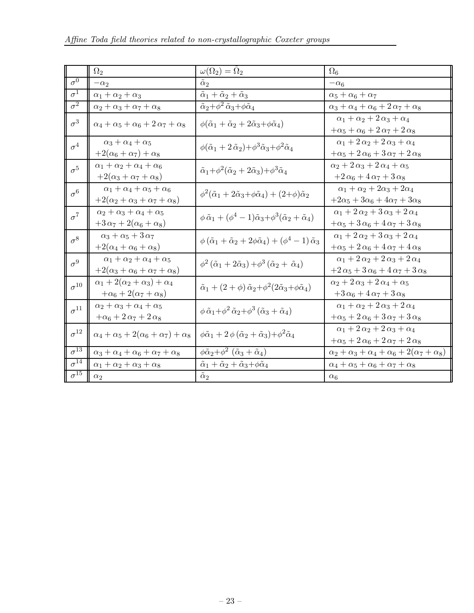|                          | $\Omega_2$                                                                               | $\omega(\Omega_2) = \Omega_2$                                                                                    | $\Omega_6$                                                                                            |
|--------------------------|------------------------------------------------------------------------------------------|------------------------------------------------------------------------------------------------------------------|-------------------------------------------------------------------------------------------------------|
| $\sigma^0$               | $-\alpha_2$                                                                              | $\tilde{\alpha}_2$                                                                                               | $-\alpha_6$                                                                                           |
| $\sigma^1$               | $\alpha_1 + \alpha_2 + \alpha_3$                                                         | $\tilde{\alpha}_1 + \tilde{\alpha}_2 + \tilde{\alpha}_3$                                                         | $\alpha_5+\alpha_6+\alpha_7$                                                                          |
| $\sigma^2$               | $\alpha_2 + \alpha_3 + \alpha_7 + \alpha_8$                                              | $\tilde{\alpha}_2 + \phi^2 \tilde{\alpha}_3 + \phi \tilde{\alpha}_4$                                             | $\alpha_3+\alpha_4+\alpha_6+2\,\alpha_7+\alpha_8$                                                     |
| $\sigma^3$               | $\alpha_4+\alpha_5+\alpha_6+2\,\alpha_7+\alpha_8$                                        | $\phi(\tilde{\alpha}_1+\tilde{\alpha}_2+2\tilde{\alpha}_3+\phi\tilde{\alpha}_4)$                                 | $\alpha_1+\alpha_2+2\alpha_3+\alpha_4$<br>$+\alpha_5+\alpha_6+2\alpha_7+2\alpha_8$                    |
| $\sigma^4$               | $\alpha_3 + \alpha_4 + \alpha_5$<br>$+2(\alpha_6+\alpha_7)+\alpha_8$                     | $\phi(\tilde{\alpha}_1+2\tilde{\alpha}_2)+\phi^3\tilde{\alpha}_3+\phi^2\tilde{\alpha}_4$                         | $\alpha_1+2\alpha_2+2\alpha_3+\alpha_4$<br>$+\alpha_5 + 2\alpha_6 + 3\alpha_7 + 2\alpha_8$            |
| $\sigma^5$               | $\alpha_1+\alpha_2+\alpha_4+\alpha_6$<br>$+2(\alpha_3+\alpha_7+\alpha_8)$                | $\tilde{\alpha}_1+\phi^2(\tilde{\alpha}_2+2\tilde{\alpha}_3)+\phi^3\tilde{\alpha}_4$                             | $\alpha_2 + 2 \alpha_3 + 2 \alpha_4 + \alpha_5$<br>$+2\alpha_6+4\alpha_7+3\alpha_8$                   |
| $\sigma^6$               | $\alpha_1 + \alpha_4 + \alpha_5 + \alpha_6$<br>$+2(\alpha_2+\alpha_3+\alpha_7+\alpha_8)$ | $\phi^2(\tilde{\alpha}_1+2\tilde{\alpha}_3+\phi\tilde{\alpha}_4)+(2+\phi)\tilde{\alpha}_2$                       | $\alpha_1+\alpha_2+2\alpha_3+2\alpha_4$<br>$+2\alpha_5+3\alpha_6+4\alpha_7+3\alpha_8$                 |
| $\sigma^7$               | $\alpha_2+\alpha_3+\alpha_4+\alpha_5$<br>$+3\alpha_7+2(\alpha_6+\alpha_8)$               | $\phi \tilde{\alpha}_1 + (\phi^4 - 1)\tilde{\alpha}_3 + \phi^3(\tilde{\alpha}_2 + \tilde{\alpha}_4)$             | $\alpha_1 + 2 \alpha_2 + 3 \alpha_3 + 2 \alpha_4$<br>$+\alpha_5+3\alpha_6+4\alpha_7+3\alpha_8$        |
| $\sigma^8$               | $\alpha_3+\alpha_5+3\,\alpha_7$<br>$+2(\alpha_4+\alpha_6+\alpha_8)$                      | $\phi\left(\tilde{\alpha}_1+\tilde{\alpha}_2+2\phi\tilde{\alpha}_4\right)+\left(\phi^4-1\right)\tilde{\alpha}_3$ | $\alpha_1 + 2 \alpha_2 + 3 \alpha_3 + 2 \alpha_4$<br>$+\alpha_5 + 2\alpha_6 + 4\alpha_7 + 4\alpha_8$  |
| $\sigma^9$               | $\alpha_1 + \alpha_2 + \alpha_4 + \alpha_5$<br>$+2(\alpha_3+\alpha_6+\alpha_7+\alpha_8)$ | $\phi^2(\tilde{\alpha}_1+2\tilde{\alpha}_3)+\phi^3(\tilde{\alpha}_2+\tilde{\alpha}_4)$                           | $\alpha_1 + 2 \alpha_2 + 2 \alpha_3 + 2 \alpha_4$<br>$+2\alpha_5+3\alpha_6+4\alpha_7+3\alpha_8$       |
| $\sigma^{10}$            | $\alpha_1+2(\alpha_2+\alpha_3)+\alpha_4$<br>$+\alpha_6+2(\alpha_7+\alpha_8)$             | $\tilde{\alpha}_1 + (2+\phi)\tilde{\alpha}_2 + \phi^2(2\tilde{\alpha}_3 + \phi\tilde{\alpha}_4)$                 | $\alpha_2 + 2\alpha_3 + 2\alpha_4 + \alpha_5$<br>$+3\alpha_6+4\alpha_7+3\alpha_8$                     |
| $\sigma^{11}$            | $\alpha_2+\alpha_3+\alpha_4+\alpha_5$<br>$+\alpha_6+2\alpha_7+2\alpha_8$                 | $\phi \tilde{\alpha}_1 + \phi^2 \tilde{\alpha}_2 + \phi^3 (\tilde{\alpha}_3 + \tilde{\alpha}_4)$                 | $\alpha_1+\alpha_2+2\alpha_3+2\alpha_4$<br>$+\alpha_5 + 2\alpha_6 + 3\alpha_7 + 3\alpha_8$            |
| $\sigma^{12}$            | $\alpha_4+\alpha_5+2(\alpha_6+\alpha_7)+\alpha_8$                                        | $\phi \tilde{\alpha}_1 + 2 \phi (\tilde{\alpha}_2 + \tilde{\alpha}_3) + \phi^2 \tilde{\alpha}_4$                 | $\alpha_1 + 2 \alpha_2 + 2 \alpha_3 + \alpha_4$<br>$+\alpha_5 + 2 \alpha_6 + 2 \alpha_7 + 2 \alpha_8$ |
| $\sigma^{13}$            | $\alpha_3+\alpha_4+\alpha_6+\alpha_7+\alpha_8$                                           | $\phi \tilde{\alpha}_2 + \phi^2 \left( \tilde{\alpha}_3 + \tilde{\alpha}_4 \right)$                              | $\alpha_2+\alpha_3+\alpha_4+\alpha_6+2(\alpha_7+\alpha_8)$                                            |
| $\sigma^{14}$            | $\alpha_1 + \alpha_2 + \alpha_3 + \alpha_8$                                              | $\tilde{\alpha}_1 + \tilde{\alpha}_2 + \tilde{\alpha}_3 + \phi \tilde{\alpha}_4$                                 | $\alpha_4+\alpha_5+\alpha_6+\alpha_7+\alpha_8$                                                        |
| $\sigma^{\overline{15}}$ | $\alpha_2$                                                                               | $\tilde{\alpha}_2$                                                                                               | $\alpha_6$                                                                                            |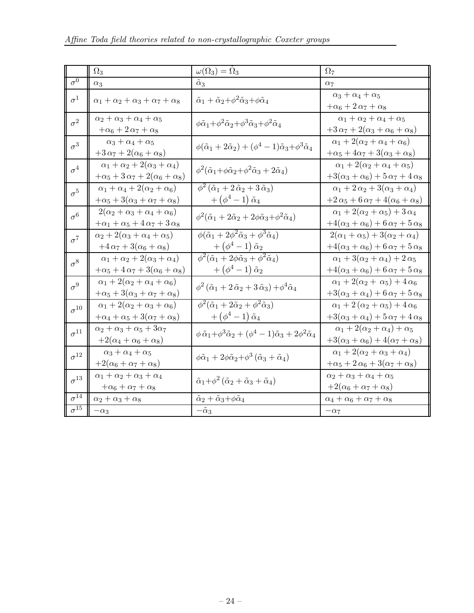|                          | $\Omega_3$                                                                                   | $\omega(\Omega_3)=\Omega_3$                                                                                                                                                                                | $\Omega_7$                                                                                         |
|--------------------------|----------------------------------------------------------------------------------------------|------------------------------------------------------------------------------------------------------------------------------------------------------------------------------------------------------------|----------------------------------------------------------------------------------------------------|
| $\sigma^0$               | $\alpha_3$                                                                                   | $\tilde{\alpha}_3$                                                                                                                                                                                         | $\alpha_7$                                                                                         |
| $\sigma^1$               | $\alpha_1+\alpha_2+\alpha_3+\alpha_7+\alpha_8$                                               | $\tilde{\alpha}_1 + \tilde{\alpha}_2 + \phi^2 \tilde{\alpha}_3 + \phi \tilde{\alpha}_4$                                                                                                                    | $\alpha_3+\alpha_4+\alpha_5$<br>$+\alpha_6+2\alpha_7+\alpha_8$                                     |
| $\sigma^2$               | $\alpha_2+\alpha_3+\alpha_4+\alpha_5$<br>$+\alpha_6+2\alpha_7+\alpha_8$                      | $\phi \tilde{\alpha}_1 + \phi^2 \tilde{\alpha}_2 + \phi^3 \tilde{\alpha}_3 + \phi^2 \tilde{\alpha}_4$                                                                                                      | $\alpha_1 + \alpha_2 + \alpha_4 + \alpha_5$<br>$+3\alpha_7+2(\alpha_3+\alpha_6+\alpha_8)$          |
| $\sigma^3$               | $\alpha_3 + \alpha_4 + \alpha_5$<br>$+3\alpha_7+2(\alpha_6+\alpha_8)$                        | $\phi(\tilde{\alpha}_1+2\tilde{\alpha}_2)+(\phi^4-1)\tilde{\alpha}_3+\phi^3\tilde{\alpha}_4$                                                                                                               | $\alpha_1 + 2(\alpha_2 + \alpha_4 + \alpha_6)$<br>$+\alpha_5 + 4\alpha_7 + 3(\alpha_3 + \alpha_8)$ |
| $\sigma^4$               | $\alpha_1 + \alpha_2 + 2(\alpha_3 + \alpha_4)$<br>$+\alpha_5+3\alpha_7+2(\alpha_6+\alpha_8)$ | $\phi^2(\tilde{\alpha}_1+\phi\tilde{\alpha}_2+\phi^2\tilde{\alpha}_3+2\tilde{\alpha}_4)$                                                                                                                   | $\alpha_1 + 2(\alpha_2 + \alpha_4 + \alpha_5)$<br>$+3(\alpha_3+\alpha_6)+5\alpha_7+4\alpha_8$      |
| $\sigma^5$               | $\alpha_1+\alpha_4+2(\alpha_2+\alpha_6)$<br>$+\alpha_5 + 3(\alpha_3 + \alpha_7 + \alpha_8)$  | $\phi^2$ ( $\tilde{\alpha}_1 + 2 \tilde{\alpha}_2 + 3 \tilde{\alpha}_3$ )<br>$+\left(\phi^4-1\right)\tilde{\alpha}_4$                                                                                      | $\alpha_1+2\alpha_2+3(\alpha_3+\alpha_4)$<br>$+2\alpha_5+6\alpha_7+4(\alpha_6+\alpha_8)$           |
| $\sigma^6$               | $2(\alpha_2+\alpha_3+\alpha_4+\alpha_6)$<br>$+\alpha_1+\alpha_5+4\alpha_7+3\alpha_8$         | $\phi^2(\tilde{\alpha}_1+2\tilde{\alpha}_2+2\phi\tilde{\alpha}_3+\phi^2\tilde{\alpha}_4)$                                                                                                                  | $\alpha_1 + 2(\alpha_2 + \alpha_5) + 3 \alpha_4$<br>$+4(\alpha_3+\alpha_6)+6\alpha_7+5\alpha_8$    |
| $\sigma^7$               | $\alpha_2 + 2(\alpha_3 + \alpha_4 + \alpha_5)$<br>$+4\alpha_7+3(\alpha_6+\alpha_8)$          | $\overline{\phi(\tilde{\alpha}_1+2\phi^2}\tilde{\alpha}_3+\phi^3\tilde{\alpha}_4)$<br>$+\left(\phi^4-1\right){\tilde \alpha}_2\\ \phi^2({\tilde \alpha}_1+2\phi{\tilde \alpha}_3+\phi^2{\tilde \alpha}_4)$ | $2(\alpha_1+\alpha_5)+3(\alpha_2+\alpha_4)$<br>$+4(\alpha_3+\alpha_6)+6\alpha_7+5\alpha_8$         |
| $\sigma^8$               | $\alpha_1+\alpha_2+2(\alpha_3+\alpha_4)$<br>$+\alpha_5+4\alpha_7+3(\alpha_6+\alpha_8)$       | $+\left(\phi^4-1\right)\tilde{\alpha}_2$                                                                                                                                                                   | $\alpha_1 + 3(\alpha_2 + \alpha_4) + 2 \alpha_5$<br>$+4(\alpha_3+\alpha_6)+6\alpha_7+5\alpha_8$    |
| $\sigma^9$               | $\alpha_1 + 2(\alpha_2 + \alpha_4 + \alpha_6)$<br>$+\alpha_5+3(\alpha_3+\alpha_7+\alpha_8)$  | $\phi^2(\tilde{\alpha}_1+2\tilde{\alpha}_2+3\tilde{\alpha}_3)+\phi^4\tilde{\alpha}_4$                                                                                                                      | $\alpha_1+2(\alpha_2+\alpha_5)+4\alpha_6$<br>$+3(\alpha_3+\alpha_4)+6\alpha_7+5\alpha_8$           |
| $\sigma^{10}$            | $\alpha_1 + 2(\alpha_2 + \alpha_3 + \alpha_6)$<br>$+\alpha_4+\alpha_5+3(\alpha_7+\alpha_8)$  | $\phi^2(\tilde{\alpha}_1+2\tilde{\alpha}_2+\phi^2\tilde{\alpha}_3)$<br>$+\left(\phi^4-1\right)\tilde{\alpha}_4$                                                                                            | $\alpha_1 + 2(\alpha_2 + \alpha_5) + 4\alpha_6$<br>$+3(\alpha_3+\alpha_4)+5\alpha_7+4\alpha_8$     |
| $\sigma^{11}$            | $\alpha_2+\alpha_3+\alpha_5+3\alpha_7$<br>$+2(\alpha_4+\alpha_6+\alpha_8)$                   | $\phi \tilde{\alpha}_1 + \phi^3 \tilde{\alpha}_2 + (\phi^4 - 1)\tilde{\alpha}_3 + 2\phi^2 \tilde{\alpha}_4$                                                                                                | $\alpha_1 + 2(\alpha_2 + \alpha_4) + \alpha_5$<br>$+3(\alpha_3+\alpha_6)+4(\alpha_7+\alpha_8)$     |
| $\sigma^{12}$            | $\alpha_3 + \alpha_4 + \alpha_5$<br>$+2(\alpha_6+\alpha_7+\alpha_8)$                         | $\phi\tilde{\alpha}_1+2\phi\tilde{\alpha}_2+\phi^3\left(\tilde{\alpha}_3+\tilde{\alpha}_4\right)$                                                                                                          | $\alpha_1 + 2(\alpha_2 + \alpha_3 + \alpha_4)$<br>$+\alpha_5+2\alpha_6+3(\alpha_7+\alpha_8)$       |
| $\sigma^{13}$            | $\alpha_1+\alpha_2+\alpha_3+\alpha_4$<br>$+\alpha_6 + \alpha_7 + \alpha_8$                   | $\tilde{\alpha}_1+\phi^2(\tilde{\alpha}_2+\tilde{\alpha}_3+\tilde{\alpha}_4)$                                                                                                                              | $\alpha_2+\alpha_3+\alpha_4+\alpha_5$<br>$+2(\alpha_6+\alpha_7+\alpha_8)$                          |
| $\sigma^{14}$            | $\alpha_2 + \alpha_3 + \alpha_8$                                                             | $\tilde{\alpha}_2 + \tilde{\alpha}_3 + \phi \tilde{\alpha}_4$                                                                                                                                              | $\alpha_4+\alpha_6+\alpha_7+\alpha_8$                                                              |
| $\sigma^{\overline{15}}$ | $-\alpha_3$                                                                                  | $-\tilde{\alpha}_3$                                                                                                                                                                                        | $-\alpha_7$                                                                                        |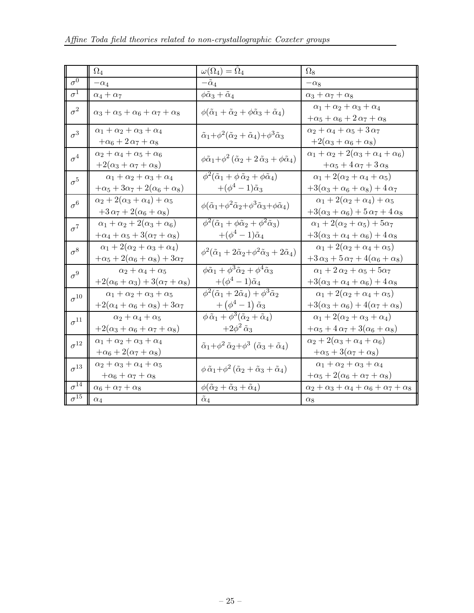|               | $\Omega_4$                                                                                   | $\omega(\Omega_4) = \Omega_4$                                                                                   | $\Omega_8$                                                                                     |
|---------------|----------------------------------------------------------------------------------------------|-----------------------------------------------------------------------------------------------------------------|------------------------------------------------------------------------------------------------|
| $\sigma^0$    | $-\alpha_4$                                                                                  | $-\tilde{\alpha}_4$                                                                                             | $-\alpha_8$                                                                                    |
| $\sigma^1$    | $\alpha_4+\alpha_7$                                                                          | $\phi\tilde{\alpha}_3+\tilde{\alpha}_4$                                                                         | $\alpha_3 + \alpha_7 + \alpha_8$                                                               |
| $\sigma^2$    | $\alpha_3+\alpha_5+\alpha_6+\alpha_7+\alpha_8$                                               | $\phi(\tilde{\alpha}_1+\tilde{\alpha}_2+\phi\tilde{\alpha}_3+\tilde{\alpha}_4)$                                 | $\alpha_1 + \alpha_2 + \alpha_3 + \alpha_4$<br>$+\alpha_5+\alpha_6+2\,\alpha_7+\alpha_8$       |
| $\sigma^3$    | $\alpha_1 + \alpha_2 + \alpha_3 + \alpha_4$<br>$+\alpha_6+2\alpha_7+\alpha_8$                | $\tilde{\alpha}_1+\phi^2(\tilde{\alpha}_2+\tilde{\alpha}_4)+\phi^3\tilde{\alpha}_3$                             | $\alpha_2+\alpha_4+\alpha_5+3\,\alpha_7$<br>$+2(\alpha_3+\alpha_6+\alpha_8)$                   |
| $\sigma^4$    | $\alpha_2+\alpha_4+\alpha_5+\alpha_6$<br>$+2(\alpha_3+\alpha_7+\alpha_8)$                    | $\phi \tilde{\alpha}_1 + \phi^2 (\tilde{\alpha}_2 + 2 \tilde{\alpha}_3 + \phi \tilde{\alpha}_4)$                | $\alpha_1+\alpha_2+2(\alpha_3+\alpha_4+\alpha_6)$<br>$+\alpha_5+4\alpha_7+3\alpha_8$           |
| $\sigma^5$    | $\alpha_1 + \alpha_2 + \alpha_3 + \alpha_4$<br>$+\alpha_5+3\alpha_7+2(\alpha_6+\alpha_8)$    | $\phi^2(\tilde{\alpha}_1+\phi\,\tilde{\alpha}_2+\phi\tilde{\alpha}_4)$<br>$+(\phi^4-1)\tilde{\alpha}_3$         | $\alpha_1 + 2(\alpha_2 + \alpha_4 + \alpha_5)$<br>$+3(\alpha_3+\alpha_6+\alpha_8)+4\alpha_7$   |
| $\sigma^6$    | $\alpha_2 + 2(\alpha_3 + \alpha_4) + \alpha_5$<br>$+3\alpha_7+2(\alpha_6+\alpha_8)$          | $\phi(\tilde{\alpha}_1+\phi^2\tilde{\alpha}_2+\phi^3\tilde{\alpha}_3+\phi\tilde{\alpha}_4)$                     | $\alpha_1 + 2(\alpha_2 + \alpha_4) + \alpha_5$<br>$+3(\alpha_3+\alpha_6)+5\alpha_7+4\alpha_8$  |
| $\sigma^7$    | $\alpha_1+\alpha_2+2(\alpha_3+\alpha_6)$<br>$+\alpha_4+\alpha_5+3(\alpha_7+\alpha_8)$        | $\phi^2(\tilde{\alpha}_1+\phi\tilde{\alpha}_2+\phi^2\tilde{\alpha}_3)$<br>$+(\phi^4-1)\tilde{\alpha}_4$         | $\alpha_1 + 2(\alpha_2 + \alpha_5) + 5\alpha_7$<br>$+3(\alpha_3+\alpha_4+\alpha_6)+4\alpha_8$  |
| $\sigma^8$    | $\alpha_1 + 2(\alpha_2 + \alpha_3 + \alpha_4)$<br>$+\alpha_5+2(\alpha_6+\alpha_8)+3\alpha_7$ | $\phi^2(\tilde{\alpha}_1+2\tilde{\alpha}_2+\phi^2\tilde{\alpha}_3+2\tilde{\alpha}_4)$                           | $\alpha_1 + 2(\alpha_2 + \alpha_4 + \alpha_5)$<br>$+3\alpha_3+5\alpha_7+4(\alpha_6+\alpha_8)$  |
| $\sigma^9$    | $\alpha_2 + \alpha_4 + \alpha_5$<br>$+2(\alpha_6+\alpha_3)+3(\alpha_7+\alpha_8)$             | $\phi \tilde{\alpha}_1 + \phi^3 \tilde{\alpha}_2 + \phi^4 \tilde{\alpha}_3$<br>$+(\phi^4-1)\tilde{\alpha}_4$    | $\alpha_1 + 2 \alpha_2 + \alpha_5 + 5 \alpha_7$<br>$+3(\alpha_3+\alpha_4+\alpha_6)+4\alpha_8$  |
| $\sigma^{10}$ | $\alpha_1 + \alpha_2 + \alpha_3 + \alpha_5$<br>$+2(\alpha_4+\alpha_6+\alpha_8)+3\alpha_7$    | $\phi^2(\tilde{\alpha}_1+2\tilde{\alpha}_4)+\phi^3\tilde{\alpha}_2$<br>$+\left(\phi^4-1\right)\tilde{\alpha}_3$ | $\alpha_1 + 2(\alpha_2 + \alpha_4 + \alpha_5)$<br>$+3(\alpha_3+\alpha_6)+4(\alpha_7+\alpha_8)$ |
| $\sigma^{11}$ | $\alpha_2 + \alpha_4 + \alpha_5$<br>$+2(\alpha_3+\alpha_6+\alpha_7+\alpha_8)$                | $\phi \tilde{\alpha}_1 + \phi^3(\tilde{\alpha}_2 + \tilde{\alpha}_4)$<br>$+2\phi^2\,\tilde{\alpha}_3$           | $\alpha_1 + 2(\alpha_2 + \alpha_3 + \alpha_4)$<br>$+\alpha_5+4\alpha_7+3(\alpha_6+\alpha_8)$   |
| $\sigma^{12}$ | $\alpha_1 + \alpha_2 + \alpha_3 + \alpha_4$<br>$+\alpha_6 + 2(\alpha_7 + \alpha_8)$          | $\tilde{\alpha}_1 + \phi^2 \tilde{\alpha}_2 + \phi^3 \left( \tilde{\alpha}_3 + \tilde{\alpha}_4 \right)$        | $\alpha_2 + 2(\alpha_3 + \alpha_4 + \alpha_6)$<br>$+\alpha_5+3(\alpha_7+\alpha_8)$             |
| $\sigma^{13}$ | $\alpha_2+\alpha_3+\alpha_4+\alpha_5$<br>$+\alpha_6 + \alpha_7 + \alpha_8$                   | $\phi \tilde{\alpha}_1 + \phi^2 (\tilde{\alpha}_2 + \tilde{\alpha}_3 + \tilde{\alpha}_4)$                       | $\alpha_1 + \alpha_2 + \alpha_3 + \alpha_4$<br>$+\alpha_5 + 2(\alpha_6 + \alpha_7 + \alpha_8)$ |
| $\sigma^{14}$ | $\alpha_6 + \alpha_7 + \alpha_8$                                                             | $\phi(\tilde{\alpha}_2+\tilde{\alpha}_3+\tilde{\alpha}_4)$                                                      | $\alpha_2+\alpha_3+\alpha_4+\alpha_6+\alpha_7+\alpha_8$                                        |
| $\sigma^{15}$ | $\alpha_4$                                                                                   | $\tilde{\alpha}_4$                                                                                              | $\alpha_8$                                                                                     |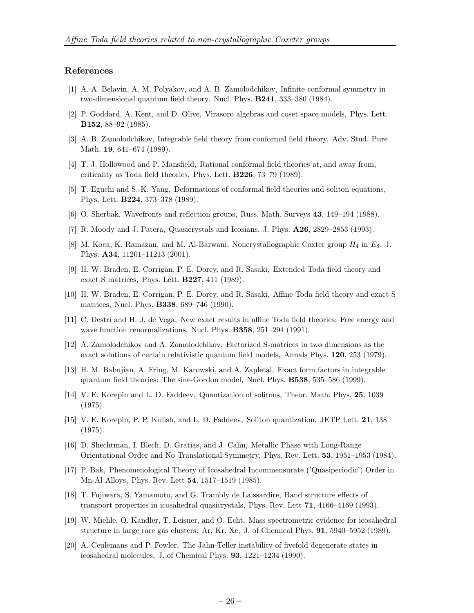#### <span id="page-26-0"></span>References

- [1] A. A. Belavin, A. M. Polyakov, and A. B. Zamolodchikov, Infinite conformal symmetry in two-dimensional quantum field theory, Nucl. Phys. B241, 333–380 (1984).
- [2] P. Goddard, A. Kent, and D. Olive, Virasoro algebras and coset space models, Phys. Lett. B152, 88–92 (1985).
- [3] A. B. Zamolodchikov, Integrable field theory from conformal field theory, Adv. Stud. Pure Math. 19, 641–674 (1989).
- [4] T. J. Hollowood and P. Mansfield, Rational conformal field theories at, and away from, criticality as Toda field theories, Phys. Lett. B226, 73–79 (1989).
- [5] T. Eguchi and S.-K. Yang, Deformations of conformal field theories and soliton equations, Phys. Lett. B224, 373–378 (1989).
- [6] O. Sherbak, Wavefronts and reflection groups, Russ. Math. Surveys 43, 149–194 (1988).
- [7] R. Moody and J. Patera, Quasicrystals and Icosians, J. Phys. A26, 2829–2853 (1993).
- [8] M. Koca, K. Ramazan, and M. Al-Barwani, Noncrystallographic Coxter group  $H_4$  in  $E_8$ , J. Phys. A34, 11201–11213 (2001).
- [9] H. W. Braden, E. Corrigan, P. E. Dorey, and R. Sasaki, Extended Toda field theory and exact S matrices, Phys. Lett. B227, 411 (1989).
- [10] H. W. Braden, E. Corrigan, P. E. Dorey, and R. Sasaki, Affine Toda field theory and exact S matrices, Nucl. Phys. **B338**, 689–746 (1990).
- [11] C. Destri and H. J. de Vega, New exact results in affine Toda field theories: Free energy and wave function renormalizations, Nucl. Phys. B358, 251–294 (1991).
- [12] A. Zamolodchikov and A. Zamolodchikov, Factorized S-matrices in two dimensions as the exact solutions of certain relativistic quantum field models, Annals Phys. 120, 253 (1979).
- [13] H. M. Babujian, A. Fring, M. Karowski, and A. Zapletal, Exact form factors in integrable quantum field theories: The sine-Gordon model, Nucl. Phys. B538, 535–586 (1999).
- [14] V. E. Korepin and L. D. Faddeev, Quantization of solitons, Theor. Math. Phys. 25, 1039 (1975).
- [15] V. E. Korepin, P. P. Kulish, and L. D. Faddeev, Soliton quantization, JETP Lett. 21, 138 (1975).
- [16] D. Shechtman, I. Blech, D. Gratias, and J. Cahn, Metallic Phase with Long-Range Orientational Order and No Translational Symmetry, Phys. Rev. Lett. 53, 1951–1953 (1984).
- [17] P. Bak, Phenomenological Theory of Icosahedral Incommensurate ('Quasiperiodic') Order in Mn-Al Alloys, Phys. Rev. Lett 54, 1517–1519 (1985).
- [18] T. Fujiwara, S. Yamamoto, and G. Trambly de Laissardire, Band structure effects of transport properties in icosahedral quasicrystals, Phys. Rev. Lett 71, 4166–4169 (1993).
- [19] W. Miehle, O. Kandler, T. Leisner, and O. Echt, Mass spectrometric evidence for icosahedral structure in large rare gas clusters: Ar, Kr, Xe, J. of Chemical Phys. 91, 5940–5952 (1989).
- [20] A. Ceulemans and P. Fowler, The Jahn-Teller instability of fivefold degenerate states in icosahedral molecules, J. of Chemical Phys. 93, 1221–1234 (1990).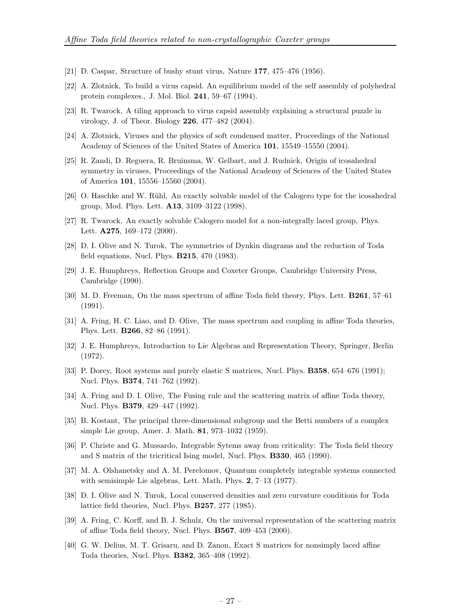- <span id="page-27-0"></span>[21] D. Caspar, Structure of bushy stunt virus, Nature 177, 475–476 (1956).
- [22] A. Zlotnick, To build a virus capsid. An equilibrium model of the self assembly of polyhedral protein complexes., J. Mol. Biol. 241, 59–67 (1994).
- [23] R. Twarock, A tiling approach to virus capsid assembly explaining a structural puzzle in virology, J. of Theor. Biology 226, 477–482 (2004).
- [24] A. Zlotnick, Viruses and the physics of soft condensed matter, Proceedings of the National Academy of Sciences of the United States of America 101, 15549–15550 (2004).
- [25] R. Zandi, D. Reguera, R. Bruinsma, W. Gelbart, and J. Rudnick, Origin of icosahedral symmetry in viruses, Proceedings of the National Academy of Sciences of the United States of America 101, 15556–15560 (2004).
- [26] O. Haschke and W. Rühl, An exactly solvable model of the Calogero type for the icosahedral group, Mod. Phys. Lett. A13, 3109–3122 (1998).
- [27] R. Twarock, An exactly solvable Calogero model for a non-integrally laced group, Phys. Lett. **A275**, 169-172 (2000).
- [28] D. I. Olive and N. Turok, The symmetries of Dynkin diagrams and the reduction of Toda field equations, Nucl. Phys. B215, 470 (1983).
- [29] J. E. Humphreys, Reflection Groups and Coxeter Groups, Cambridge University Press, Cambridge (1990).
- [30] M. D. Freeman, On the mass spectrum of affine Toda field theory, Phys. Lett. B261, 57–61 (1991).
- [31] A. Fring, H. C. Liao, and D. Olive, The mass spectrum and coupling in affine Toda theories, Phys. Lett. B266, 82–86 (1991).
- [32] J. E. Humphreys, Introduction to Lie Algebras and Representation Theory, Springer, Berlin (1972).
- [33] P. Dorey, Root systems and purely elastic S matrices, Nucl. Phys. **B358**, 654–676 (1991); Nucl. Phys. **B374**, 741-762 (1992).
- [34] A. Fring and D. I. Olive, The Fusing rule and the scattering matrix of affine Toda theory, Nucl. Phys. **B379**, 429–447 (1992).
- [35] B. Kostant, The principal three-dimensional subgroup and the Betti numbers of a complex simple Lie group, Amer. J. Math. 81, 973–1032 (1959).
- [36] P. Christe and G. Mussardo, Integrable Sytems away from criticality: The Toda field theory and S matrix of the tricritical Ising model, Nucl. Phys. B330, 465 (1990).
- [37] M. A. Olshanetsky and A. M. Perelomov, Quantum completely integrable systems connected with semisimple Lie algebras, Lett. Math. Phys. 2, 7–13 (1977).
- [38] D. I. Olive and N. Turok, Local conserved densities and zero curvature conditions for Toda lattice field theories, Nucl. Phys. B257, 277 (1985).
- [39] A. Fring, C. Korff, and B. J. Schulz, On the universal representation of the scattering matrix of affine Toda field theory, Nucl. Phys. B567, 409–453 (2000).
- [40] G. W. Delius, M. T. Grisaru, and D. Zanon, Exact S matrices for nonsimply laced affine Toda theories, Nucl. Phys. B382, 365–408 (1992).